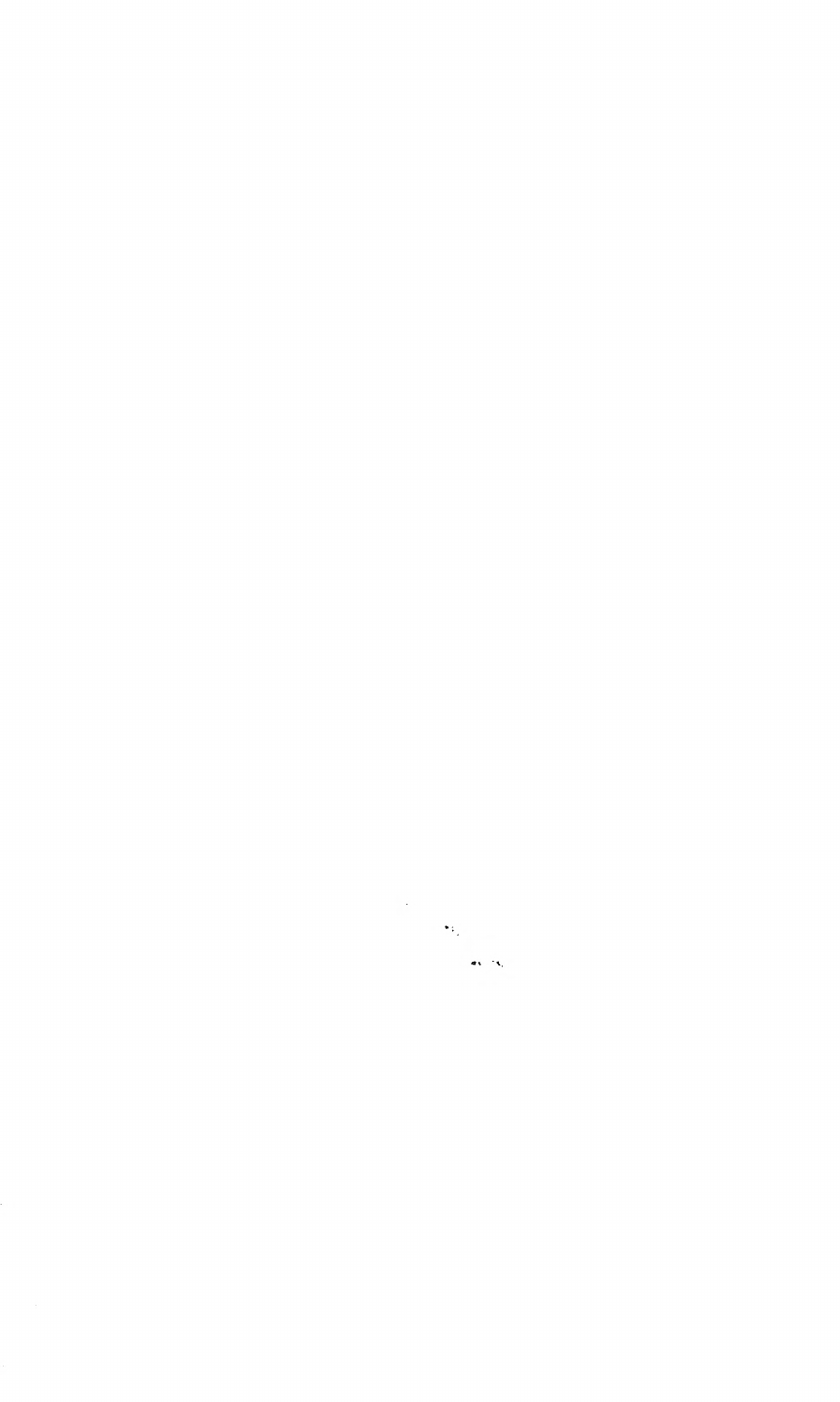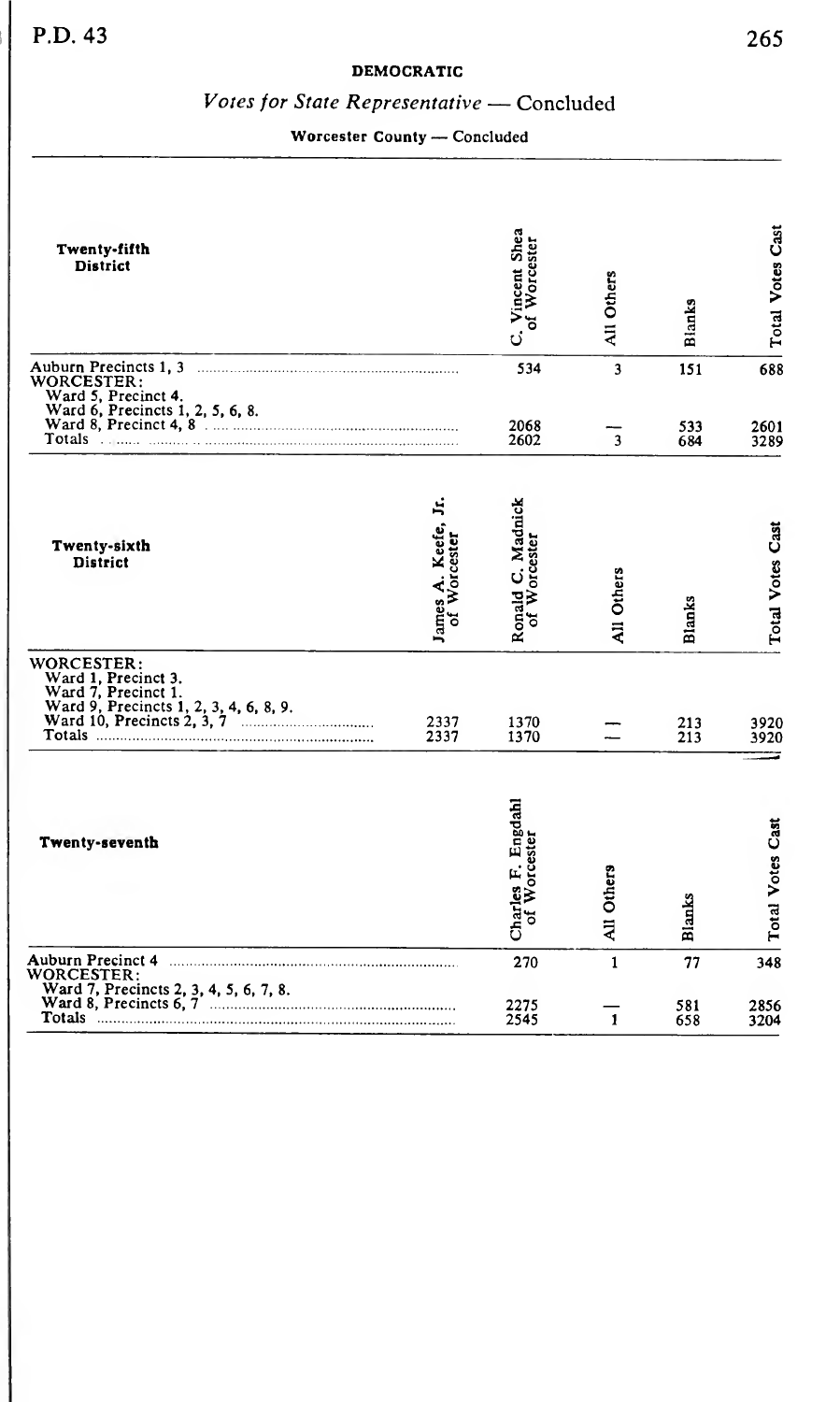# Votes for State Representative - Concluded

Worcester County - Concluded

| Twenty-fifth<br><b>District</b>                                                                                                             |                                      | C. Vincent Shea<br>Worcester<br>৳  | All Others              | <b>Blanks</b> | Total Votes Cast        |
|---------------------------------------------------------------------------------------------------------------------------------------------|--------------------------------------|------------------------------------|-------------------------|---------------|-------------------------|
| WORCESTER:<br>Ward 5, Precinct 4.                                                                                                           |                                      | 534                                | 3                       | 151           | 688                     |
| Ward 6, Precincts 1, 2, 5, 6, 8.<br>Ward 8, Precinct 4, 8<br>Totals                                                                         |                                      | 2068<br>2602                       | $\overline{\mathbf{3}}$ | 533<br>684    | 2601<br>3289            |
| Twenty-sixth<br><b>District</b>                                                                                                             | д<br>James A. Keefe,<br>of Worcester | Ronald C. Madnick<br>of Worcester  | All Others              | <b>Blanks</b> | <b>Total Votes Cast</b> |
| WORCESTER:<br>Ward 1, Precinct 3.<br>Ward 7, Precinct 1.<br>Ward 9, Precinct 1.<br>Ward 10, Precincts 2, 3, 7<br>Mard 10, Precincts 2, 3, 7 | 2337<br>2337                         | 1370<br>1370                       |                         | 213<br>213    | 3920<br>3920            |
| Twenty-seventh                                                                                                                              |                                      | Charles F. Engdahl<br>of Worcester | All Others              | <b>Blanks</b> | <b>Total Votes Cast</b> |
| Auburn Precinct 4<br>WORCESTER:                                                                                                             |                                      | 270                                | $\mathbf{1}$            | 77            | 348                     |
| Totals                                                                                                                                      |                                      | 2275<br>2545                       | $\mathbf{1}$            | 581<br>658    | 2856<br>3204            |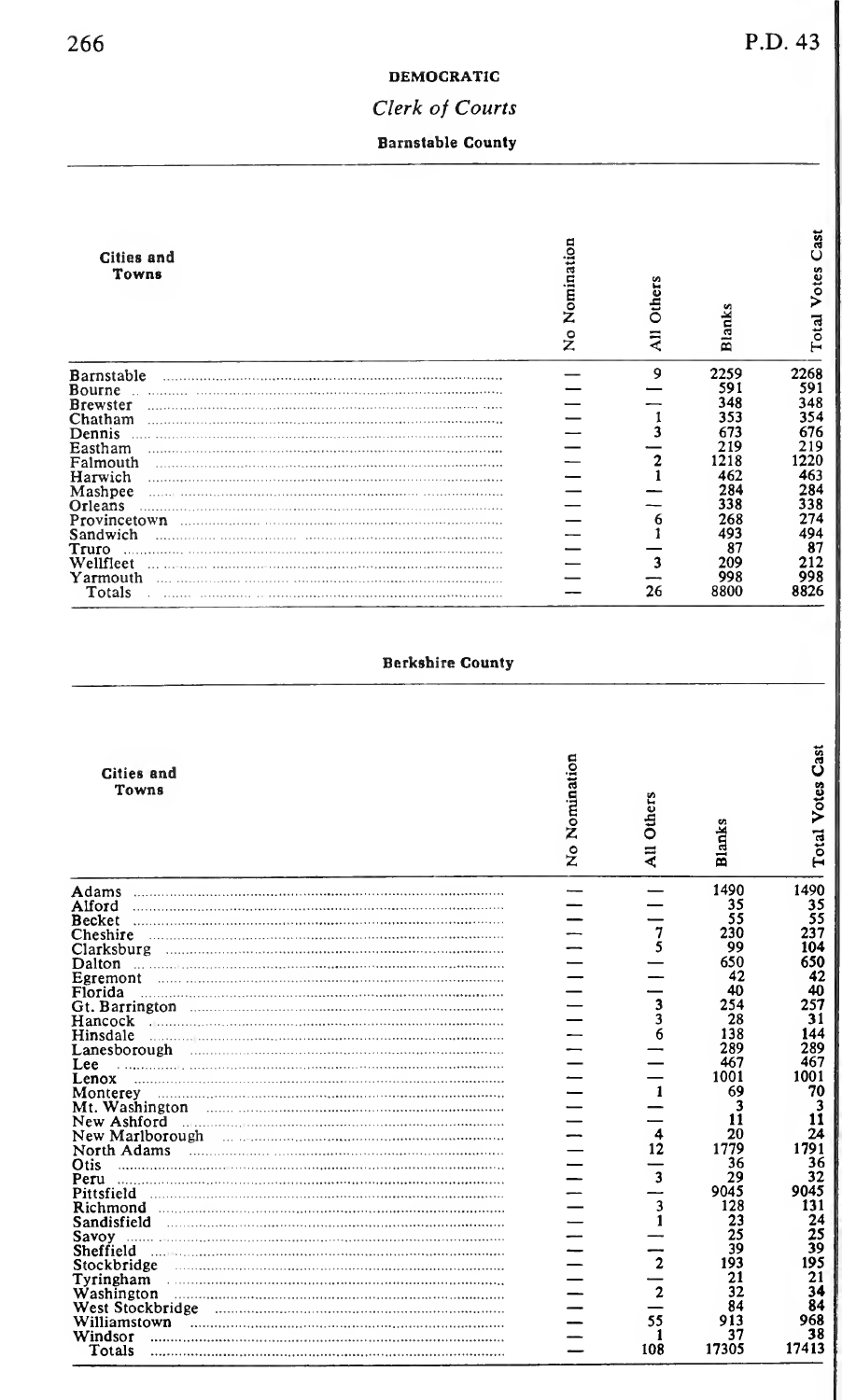## Clerk of Courts

### Barnstable County

| <b>Cities and</b><br>Towns | Nomination<br>ż | <b>Other</b> | S<br>lank<br>œ | Cast<br>Votes<br>Total |
|----------------------------|-----------------|--------------|----------------|------------------------|
| Barnstable                 |                 | 9            | 2259           | 2268                   |
| Bourne                     |                 |              | 591            | 591                    |
| <b>Brewster</b>            |                 |              | 348            | 348                    |
| Chatham                    |                 |              | 353            | 354                    |
| Dennis                     |                 |              | 673            | 676                    |
| Eastham                    |                 |              | 219            | 219                    |
| Falmouth                   |                 |              | 218            | 220                    |
| Harwich                    |                 |              | 462            | 463                    |
| Mashpee                    |                 |              | 284            | 284                    |
| Orleans                    |                 |              | 338            | 338                    |
| Provincetown               |                 |              | 268            | 274                    |
| Sandwich                   |                 |              | 493            | 494                    |
| Truro                      |                 |              | 87             | 87                     |
| Wellfleet                  |                 |              | 209            | 212                    |
| Yarmouth                   |                 |              | 998            | 998                    |
| Totals                     |                 | 26           | 8800           | 8826                   |

#### **Berkshire County**

| Cities and<br>Towns | No Nomination | Others<br>늯             | Blanks      | Cast<br>Votes<br>Total <sup>-</sup> |
|---------------------|---------------|-------------------------|-------------|-------------------------------------|
| Adams               |               |                         | 1490        | 1490                                |
| Alford              |               |                         | 35          | 35                                  |
| Becket              |               |                         | 55          | 55                                  |
| Cheshire            |               | 7                       | 230         | 237                                 |
| Clarksburg          |               |                         | 99          | 104                                 |
| Dalton              |               |                         | 650         | 650                                 |
| Egremont            |               |                         | 42          | 42                                  |
| Florida             |               |                         | 40          | 40                                  |
|                     |               | 3<br>3                  | 254         | 257                                 |
| Hancock             |               |                         | 28          | 31                                  |
| Hinsdale            |               |                         | 138         | 144                                 |
| Lanesborough        |               |                         | 289         | 289                                 |
| Lee                 |               |                         | 467         | 467                                 |
| Lenox               |               |                         | 1001        | 1001                                |
| Monterey            |               | $\mathbf{1}$            | 69          | 70                                  |
| Mt. Washington      |               |                         | 3           | 3                                   |
| New Ashford         |               |                         | 11          | 11                                  |
| New Marlborough     |               | $\overline{4}$          | 20          | 24                                  |
| North Adams         |               | 12                      | 1779        | 1791                                |
| Otis                |               |                         | 36          | 36                                  |
|                     |               | $\overline{\mathbf{3}}$ | 29          | 32<br>9045                          |
| Pittsfield          |               | 3                       | 9045<br>128 | 131                                 |
|                     |               |                         | 23          | 24                                  |
| Sandisfield         |               |                         | 25          |                                     |
| Savov               |               |                         | 39          | $\frac{75}{39}$                     |
| Sheffield           |               | $\overline{2}$          | 193         | 195                                 |
| Stockbridge         |               |                         | 21          | 21                                  |
| Washington          |               | $\overline{2}$          | 32          | 34                                  |
| West Stockbridge    |               |                         | 84          | 84                                  |
| Williamstown        |               | 55                      | 913         | 968                                 |
| Windsor             |               |                         | 37          | 38                                  |
| Totals              |               | 108                     | 17305       | 17413                               |
|                     |               |                         |             |                                     |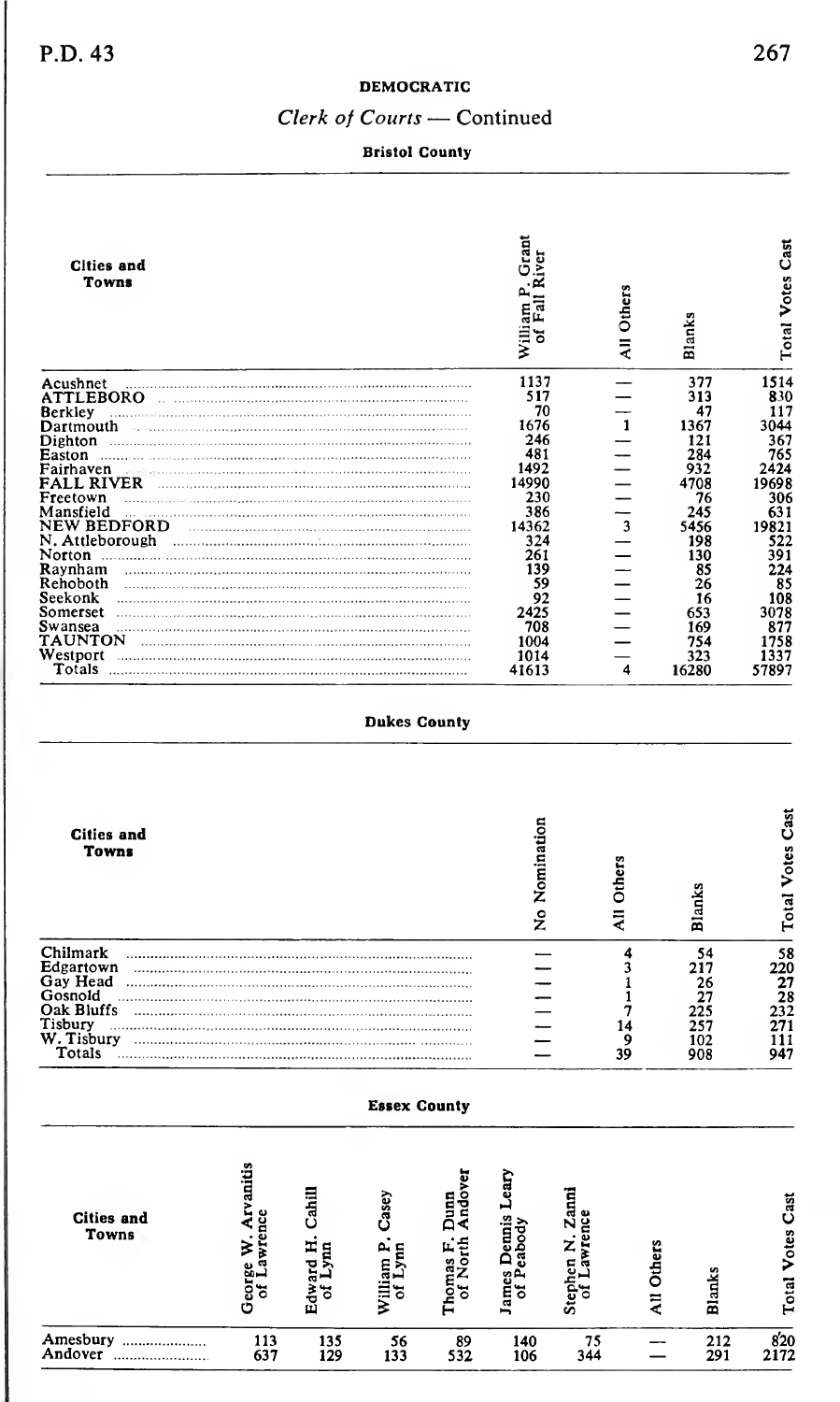I

# DEMOCRATIC

## Clerk of Courts — Continued

## Bristol County

| <b>Cities and</b><br>Towns                                                                                                                                                                                                                                                                                                                                      |                                    |                            |                             |                                    | تة<br>Graf<br>Fall River<br>William P.<br>៵                                                                                                                     |                                 | All Others                    |            | Blanks                                                                                                                                          | $\frac{1}{6}$ $\frac{1}{4}$ Total Votes Cast                                                                                                                                                   |
|-----------------------------------------------------------------------------------------------------------------------------------------------------------------------------------------------------------------------------------------------------------------------------------------------------------------------------------------------------------------|------------------------------------|----------------------------|-----------------------------|------------------------------------|-----------------------------------------------------------------------------------------------------------------------------------------------------------------|---------------------------------|-------------------------------|------------|-------------------------------------------------------------------------------------------------------------------------------------------------|------------------------------------------------------------------------------------------------------------------------------------------------------------------------------------------------|
| Acushnet<br><b>ATTLEBORO</b><br>Berkley<br><b>CONTRACTOR</b><br>Dartmouth<br>Dighton <b>Experimental Communities</b> and the Dighton<br>Easton<br>Fairhaven<br>FALL RIVER<br>Freetown<br>Mansfield<br><b>NEW BEDFORD</b><br>N. Attleborough<br>Norton<br>Raynham<br>Rehoboth<br>Seekonk<br>and a<br>Somerset<br>Swansea<br><b>TAUNTON</b><br>Westport<br>Totals |                                    |                            |                             |                                    | 1137<br>517<br>$\frac{70}{1676}$<br>246<br>481<br>1492<br>14990<br>230<br>386<br>14362<br>324<br>261<br>139<br>59<br>92<br>2425<br>708<br>1004<br>1014<br>41613 |                                 | ニーユーニーニョーニーニー                 |            | 377<br>313<br>47<br>1367<br>121<br>284<br>932<br>4708<br>76<br>245<br>5456<br>198<br>130<br>85<br>26<br>16<br>653<br>169<br>754<br>323<br>16280 | 117<br>3044<br>$\frac{367}{765}$<br>2424<br>19698<br>306<br>631<br>19821<br>522<br>391<br>224<br>$\begin{array}{r} 67 \\ 85 \\ 108 \\ 3078 \\ 877 \\ 175 \end{array}$<br>1758<br>1337<br>57897 |
|                                                                                                                                                                                                                                                                                                                                                                 |                                    |                            | <b>Dukes County</b>         |                                    |                                                                                                                                                                 |                                 |                               |            |                                                                                                                                                 |                                                                                                                                                                                                |
| <b>Cities and</b><br>Towns                                                                                                                                                                                                                                                                                                                                      |                                    |                            |                             |                                    | No Nomination                                                                                                                                                   |                                 | All Others                    |            | <b>Blanks</b>                                                                                                                                   |                                                                                                                                                                                                |
| Chilmark<br>Edgartown<br>Gosnold<br>Oak Bluffs<br>Tisbury<br>W. Tisbury<br>Totals                                                                                                                                                                                                                                                                               |                                    |                            |                             |                                    |                                                                                                                                                                 |                                 | 43117<br>$\frac{14}{9}$<br>39 |            | $\frac{54}{217}$<br>$\frac{26}{27}$<br>225<br>257<br>102<br>908                                                                                 |                                                                                                                                                                                                |
|                                                                                                                                                                                                                                                                                                                                                                 |                                    |                            | <b>Essex County</b>         |                                    |                                                                                                                                                                 |                                 |                               |            |                                                                                                                                                 |                                                                                                                                                                                                |
| <b>Cities and</b><br>Towns                                                                                                                                                                                                                                                                                                                                      | George W. Arvanitis<br>of Lawrence | 冒さ<br>Edward H.<br>of Lynn | William P. Casey<br>of Lynn | of North Andover<br>Thomas F. Dunn | James Dennis Leary<br>of Peabody                                                                                                                                | Stephen N. Zanni<br>of Lawrence |                               | All Others | <b>Blanks</b>                                                                                                                                   | <b>Total Votes Cast</b>                                                                                                                                                                        |
| Andover                                                                                                                                                                                                                                                                                                                                                         | 113<br>637                         | 135<br>129                 | $\frac{56}{133}$            | 532                                | 140<br>106                                                                                                                                                      | $\frac{75}{344}$                |                               |            | $^{212}_{291}$                                                                                                                                  | $\frac{820}{2172}$                                                                                                                                                                             |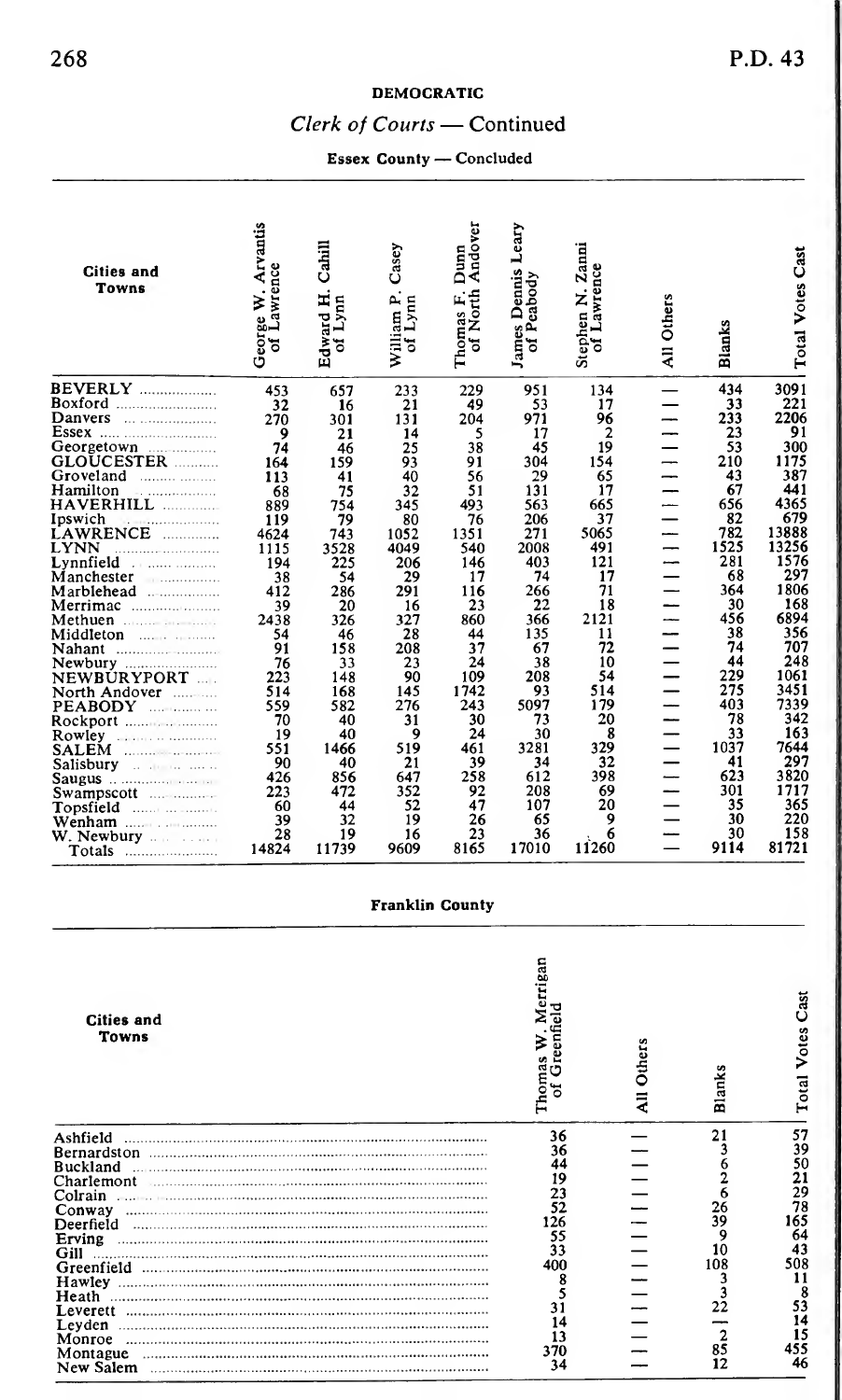### Clerk of Courts — Continued

Essex County — Concluded

| <b>Cities and</b><br>Towns            | Arvantis<br>George W. Art<br>of Lawrence | Cahill<br>Edward H.<br>of Lynn | Casey<br>William P.<br>Lynn<br>ัธ | Andover<br>Dunn<br>Thomas F. | Leary<br>James Dennis<br>Peabody<br>ৼ | Zanni<br>Lawrence<br>Stephen <sub>N.</sub><br>٠. | <b>Others</b><br>$\overline{4}$ | <b>Blanks</b> | <b>Total Votes Cast</b> |
|---------------------------------------|------------------------------------------|--------------------------------|-----------------------------------|------------------------------|---------------------------------------|--------------------------------------------------|---------------------------------|---------------|-------------------------|
| BEVERLY                               | 453                                      | 657                            | 233                               | 229                          | 951                                   | 134                                              |                                 | 434           | 3091                    |
| Boxford                               | 32                                       | 16                             | 21                                | 49                           | 53                                    | 17                                               |                                 | 33            | 221                     |
| Danvers                               | 270                                      | 301                            | 131                               | 204                          | 971                                   | 96                                               |                                 | 233           | 2206                    |
| Essex                                 | $\mathbf{9}$                             | 21                             | 14                                | 5                            | 17                                    | 2                                                |                                 | 23            | 91                      |
| Georgetown<br>.                       | 74                                       | 46                             | 25                                | 38                           | 45                                    | 19                                               |                                 | 53            | 300                     |
| <b>GLOUCESTER</b>                     | 164                                      | 159                            | 93                                | 91                           | 304                                   | 154                                              |                                 | 210           | 1175                    |
| Groveland                             | 113                                      | 41                             | 40                                | 56                           | 29                                    | 65                                               |                                 | 43            | 387                     |
| Hamilton<br>.                         | 68                                       | 75                             | 32                                | 51                           | 131                                   | 17                                               |                                 | 67            | 441                     |
| HAVERHILL                             |                                          |                                |                                   | 493                          | 563                                   | 665                                              |                                 | 656           | 4365                    |
| .<br>Ipswich                          | 889                                      | 754                            | 345                               |                              | 206                                   | 37                                               |                                 | 82            | 679                     |
| <b>The Commission</b>                 | 119                                      | 79                             | 80                                | 76                           |                                       |                                                  |                                 | 782           | 13888                   |
| LAWRENCE<br>.                         | 4624                                     | 743                            | 1052                              | 1351                         | 271                                   | 5065                                             |                                 |               |                         |
| LYNN                                  | 1115                                     | 3528                           | 4049                              | 540                          | 2008                                  | 491                                              | —                               | 1525          | 13256                   |
| Lynnfield<br><b>Carlos Street</b>     | 194                                      | 225                            | 206                               | 146                          | 403                                   | 121                                              |                                 | 281           | 1576                    |
| Manchester                            | 38                                       | 54                             | 29                                | 17                           | 74                                    | 17                                               |                                 | 68            | 297                     |
| Marblehead<br>.                       | 412                                      | 286                            | 291                               | 116                          | 266                                   | 71                                               |                                 | 364           | 1806                    |
| Merrimac                              | 39                                       | 20                             | 16                                | 23                           | 22                                    | 18                                               |                                 | 30            | 168                     |
|                                       | 2438                                     | 326                            | 327                               | 860                          | 366                                   | 2121                                             |                                 | 456           | 6894                    |
| Middleton<br>and it is a company      | 54                                       | 46                             | 28                                | 44                           | 135                                   | 11                                               |                                 | 38            | 356                     |
|                                       | 91                                       | 158                            | 208                               | 37                           | 67                                    | 72                                               |                                 | 74            | 707                     |
| Newbury                               | 76                                       | 33                             | 23                                | 24                           | 38                                    | 10                                               |                                 | 44            | 248                     |
| NEWBÜRYPORT                           | 223                                      | 148                            | 90                                | 109                          | 208                                   | 54                                               |                                 | 229           | 1061                    |
| North Andover<br><b>Contractor</b>    | 514                                      | 168                            | 145                               | 1742                         | 93                                    | 514                                              |                                 | 275           | 3451                    |
| <b>PEABODY</b>                        | 559                                      | 582                            | 276                               | 243                          | 5097                                  | 179                                              |                                 | 403           | 7339                    |
| and all the contracts and             | 70                                       | 40                             | 31                                | 30                           | 73                                    | 20                                               |                                 | 78            | 342                     |
|                                       |                                          |                                |                                   |                              |                                       |                                                  |                                 | 33            | 163                     |
| Rowley<br>distance in accountance     | 19                                       | 40                             | 9                                 | 24                           | 30                                    | 8                                                |                                 | 1037          | 7644                    |
| SALEM                                 | 551                                      | 1466                           | 519                               | 461                          | 3281                                  | 329                                              |                                 |               |                         |
| Salisbury<br>and a financial contract | 90                                       | 40                             | 21                                | 39                           | 34                                    | 32                                               |                                 | 41            | 297                     |
|                                       | 426                                      | 856                            | 647                               | 258                          | 612                                   | 398                                              |                                 | 623           | 3820                    |
|                                       | 223                                      | 472                            | 352                               | 92                           | 208                                   | 69                                               |                                 | 301           | 1717                    |
| Topsfield<br>and accounts             | 60                                       | 44                             | 52                                | 47                           | 107                                   | 20                                               |                                 | 35            | 365                     |
| Wenham                                | 39                                       | 32                             | 19                                | 26                           | 65                                    | 9                                                |                                 | 30            | 220                     |
| W. Newbury                            | 28                                       | 19                             | 16                                | 23                           | 36                                    | 6                                                |                                 | 30            | $\frac{158}{81721}$     |
| Totals                                | 14824                                    | 11739                          | 9609                              | 8165                         | 17010                                 | 11260                                            |                                 | 9114          |                         |

#### **Franklin County**

| Cities and<br>Towns     | rrigan<br>ಕ<br>ä<br>10m | Other | Blanks         | ä<br>Votes<br>otal |
|-------------------------|-------------------------|-------|----------------|--------------------|
| Ashfield<br>Bernardston | 36<br>36                |       |                | 57<br>39           |
| <b>Ruckland</b>         | 44                      |       |                | 50                 |
| Charlemont              | 19                      |       |                | 21                 |
| Colrain                 | 23                      |       |                | $\frac{29}{78}$    |
| Conway                  | 52                      |       | 26             |                    |
| Deerfield               | 126                     |       | 39             | 165                |
| Erving                  | 55                      |       |                | 64                 |
| Gill                    | 33                      |       | 10             | 43<br>508          |
|                         | 400                     |       | 108            | 11                 |
|                         |                         |       |                |                    |
| Heath                   | 31                      |       |                | 53                 |
| Leverett                | 14                      |       |                | 14                 |
| Leyden<br>Monroe        | 13                      |       | $\overline{a}$ |                    |
| Montague                | 370                     |       | 85             |                    |
| New Salem               | 34                      |       | 12             | 46                 |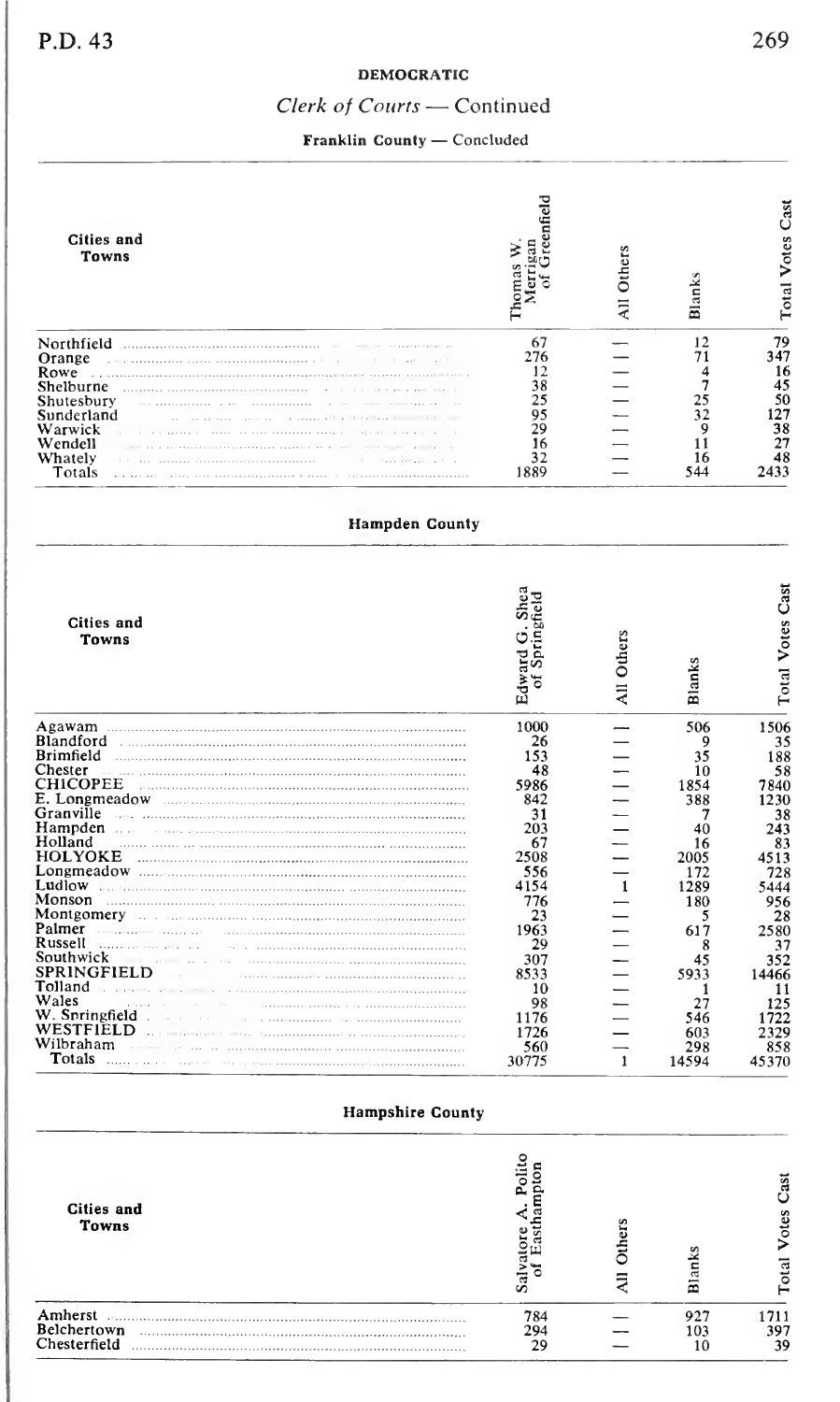# Clerk of Courts — Continued

Franklin County — Concluded

| Cities and<br>Towns                                                                                                                                                                                                                      | 긤         | 3ther | Ě<br>œ | É<br>$_{\rm otal}$ |
|------------------------------------------------------------------------------------------------------------------------------------------------------------------------------------------------------------------------------------------|-----------|-------|--------|--------------------|
| Northfield                                                                                                                                                                                                                               | 67<br>276 |       |        | 79<br>347          |
| Orange<br>a sea anno conservado como ano conservado e conservado e final<br>the state of the state of the state of<br>Rowe                                                                                                               | 12        |       |        | 16                 |
| Shelburne                                                                                                                                                                                                                                | 38        |       |        | 45                 |
| Shutesbury<br>The department of the companions and                                                                                                                                                                                       | 25        |       |        | 50                 |
| Sunderland<br>the contract of the contract of the contract of the contract of the contract of the contract of the contract of                                                                                                            | 95        |       | 32     |                    |
| Warwick<br>The continuous contracts are associated as a series of the contracts of the contracts of the contracts of the contracts of the contracts of the contracts of the contracts of the contracts of the contracts of the contracts | 29        |       |        | 38                 |
| Wendell<br>as a straightformation of the contract of the state of the contract of the state of the state of the state of                                                                                                                 | 16        |       |        | 27                 |
| Whately<br>the contract of the contract of the con-                                                                                                                                                                                      | 1889      |       |        | 2433               |
| Totals                                                                                                                                                                                                                                   |           |       |        |                    |

| Cities and<br>Towns                                                                                                                                                                                                                                                                       | gfel<br>Ξ<br>э<br>ard<br>$\sim$<br>ш | Others | Blanks | ä<br>Ü<br>Votes<br>otal |
|-------------------------------------------------------------------------------------------------------------------------------------------------------------------------------------------------------------------------------------------------------------------------------------------|--------------------------------------|--------|--------|-------------------------|
| Agawam                                                                                                                                                                                                                                                                                    | 1000                                 |        | 506    | 1506                    |
| Blandford                                                                                                                                                                                                                                                                                 | 26                                   |        | q      | 35                      |
| Brimfield                                                                                                                                                                                                                                                                                 | 153                                  |        | 35     | 188                     |
| Chester                                                                                                                                                                                                                                                                                   | 48                                   |        | 10     | 58                      |
| CHICOPEE                                                                                                                                                                                                                                                                                  | 5986                                 |        | 1854   | 7840                    |
| E. Longmeadow                                                                                                                                                                                                                                                                             | 842                                  |        | 388    | 1230                    |
| Granville                                                                                                                                                                                                                                                                                 | 31                                   |        |        | 38                      |
|                                                                                                                                                                                                                                                                                           | 203                                  |        | 40     | 243                     |
| Holland                                                                                                                                                                                                                                                                                   | 67                                   |        | 16     | 83                      |
| HOLYOKE                                                                                                                                                                                                                                                                                   | 2508                                 |        | 2005   | 513                     |
|                                                                                                                                                                                                                                                                                           | 556                                  |        | 172    | 728                     |
| Ludlow                                                                                                                                                                                                                                                                                    | 4154                                 |        | 1289   | 5444                    |
| Monson                                                                                                                                                                                                                                                                                    | 776                                  |        | 180    | 956                     |
|                                                                                                                                                                                                                                                                                           | 23                                   |        | 5      | 28                      |
| Palmer<br>anteriormente con con-                                                                                                                                                                                                                                                          | 1963                                 |        | 617    | 2580                    |
| Russell<br>the communication of the communication of the communication of the communication of the communication of the communication of the communication of the communication of the communication of the communication of the communic<br>the company of the company of the company of | 29                                   |        |        | 37                      |
| Southwick                                                                                                                                                                                                                                                                                 | 307                                  |        | 45     | 352                     |
| <b>SPRINGFIFLD</b>                                                                                                                                                                                                                                                                        | 8533                                 |        | 5933   | 14466                   |
| Tolland                                                                                                                                                                                                                                                                                   | 10                                   |        |        | 11                      |
| Wales                                                                                                                                                                                                                                                                                     | 98                                   |        | 27     | 12:                     |
| W. Springfield<br>a communication of communications of                                                                                                                                                                                                                                    | 1176                                 |        | 546    | 722                     |
| WESTFIELD<br>international contract the component of the component components of the components of the components of the components of the components of the components of the components of the components of the components of the compon                                               | 1726                                 |        | 603    | 2329                    |
| Wilbraham<br>$\mathcal{P}$ and the continuum continuum continuum continuum continuum continuum continuum continuum continuum continuum continuum continuum continuum continuum continuum continuum continuum continuum continuum continuum cont                                           | 560                                  |        | 298    | 858                     |
| Totals                                                                                                                                                                                                                                                                                    | 30775                                |        | 14594  | 45370                   |
|                                                                                                                                                                                                                                                                                           |                                      |        |        |                         |

#### Hampshire County

| Cities and<br>Towns                        | s                |                  |     |
|--------------------------------------------|------------------|------------------|-----|
| Amherst<br>Belchertown<br><br>Chesterfield | 784<br>294<br>29 | 927<br>103<br>10 | 397 |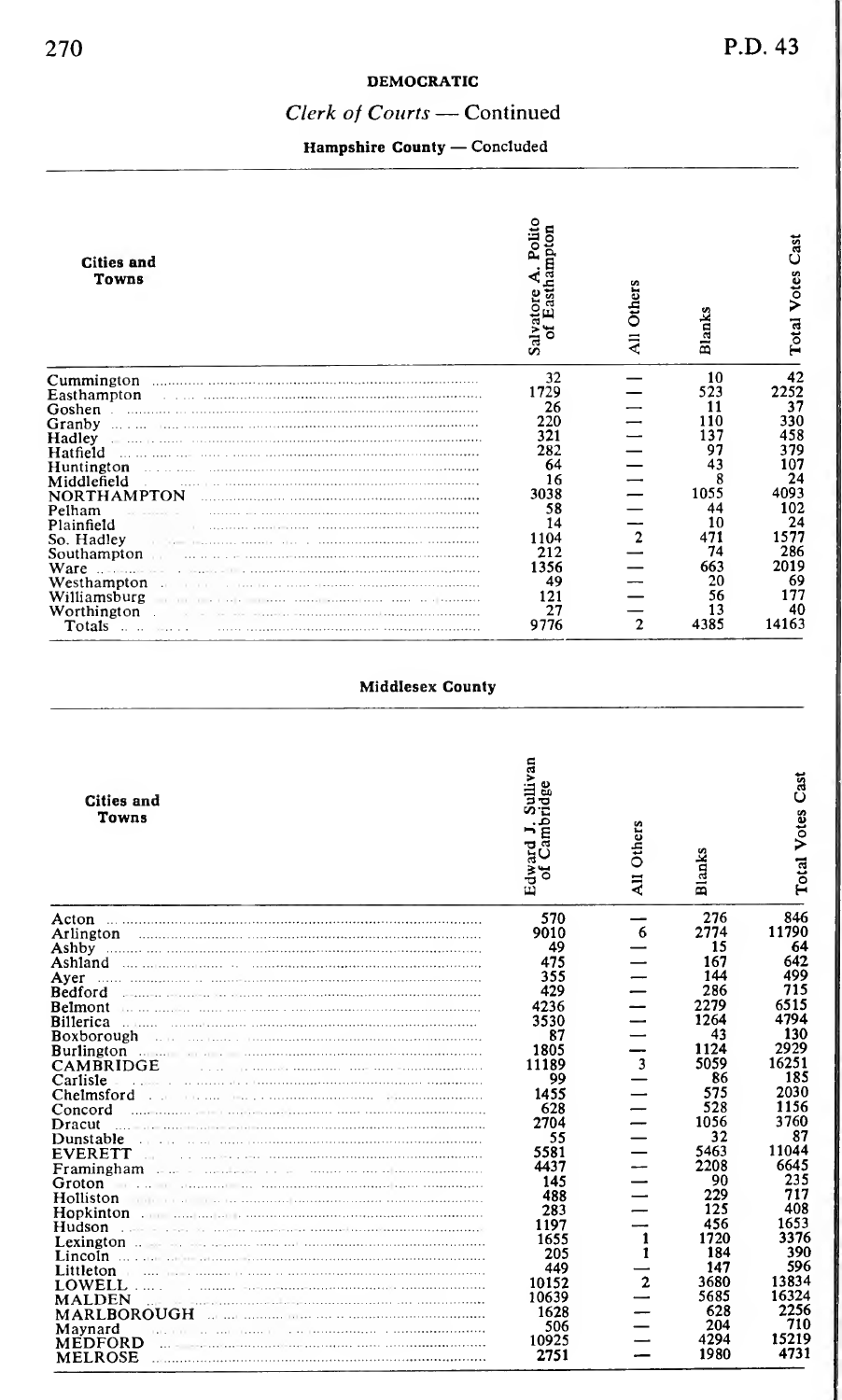## Clerk of Courts — Continued

Hampshire County — Concluded

| Cities and<br>Towns                                                                                                                                                                                                                                     | Polito<br>thampton<br>alvatore<br>ä<br>S | Others | Blanks | Cast<br>Votes<br>Total |
|---------------------------------------------------------------------------------------------------------------------------------------------------------------------------------------------------------------------------------------------------------|------------------------------------------|--------|--------|------------------------|
|                                                                                                                                                                                                                                                         | 32                                       |        | 10     | 42                     |
| Easthampton                                                                                                                                                                                                                                             | 1729                                     |        | 523    | 2252                   |
| Goshen                                                                                                                                                                                                                                                  | 26                                       |        |        | 37                     |
| Granby<br>The first complete the complete complete the complete complete the complete the complete of the complete the complete the complete the complete the complete the complete the complete the complete the complete the complete                 | 220                                      |        | l 10   | 330                    |
| Hadley                                                                                                                                                                                                                                                  | 321                                      |        | 31     | 58                     |
| Hatfield                                                                                                                                                                                                                                                | 282                                      |        | 97     | 379                    |
| Huntington                                                                                                                                                                                                                                              | 64                                       |        |        | 107                    |
| Middlefield                                                                                                                                                                                                                                             | 16                                       |        |        | 24                     |
| <b>NORTHAMPTON</b>                                                                                                                                                                                                                                      | 3038                                     |        | 1055   | 1093                   |
| Pelham                                                                                                                                                                                                                                                  | 58                                       |        | 44     | 102                    |
| Plainfield                                                                                                                                                                                                                                              | 14                                       |        | 10     | 24                     |
| So. Hadley<br>The financial court is a summarization of consider                                                                                                                                                                                        | 1104                                     |        |        | 577                    |
| Southampton                                                                                                                                                                                                                                             | 212                                      |        | 74     | 286                    |
| Ware                                                                                                                                                                                                                                                    | 1356                                     |        | 663    | 2019                   |
| Westhampton<br>The first transportation of the company of the company of the company of the company of the company of the company of the company of the company of the company of the company of the company of the company of the company of<br>$\sim$ | 49                                       |        | 20     | 69                     |
| Williamsburg<br>The contract of the company and contract the contract of the company of the company of the company of the company of<br><b>STATE</b>                                                                                                    | 121                                      |        | 56     | 177                    |
| Worthington<br>The contract of the company of the contract of the company of the company of the company of the company of the company of the company of the company of the company of the company of the company of the company of the compan           | 27                                       |        |        | 40                     |
| Totals<br><b>Service</b> St.                                                                                                                                                                                                                            | 9776                                     |        | 4385   | 14163                  |

#### **Middlesex County**

| Cities and<br>Towns                                                                                                                       | Sullivan<br>ambridge<br>∽<br>Edward<br>৳ | Others<br>Ę             | Blanks      | Cast<br><b>Total Votes</b> |
|-------------------------------------------------------------------------------------------------------------------------------------------|------------------------------------------|-------------------------|-------------|----------------------------|
|                                                                                                                                           | 570                                      |                         | 276         | 846                        |
| Arlington                                                                                                                                 | 9010                                     | 6                       | 2774        | 11790                      |
|                                                                                                                                           | 49                                       |                         | 15          | 64                         |
| Ashland                                                                                                                                   | 475                                      |                         | 167         | 642                        |
| Aver                                                                                                                                      | 355                                      |                         | 144         | 499                        |
| Bedford                                                                                                                                   | 429                                      |                         | 286         | 715                        |
| Belmont                                                                                                                                   | 4236                                     |                         | 2279        | 6515                       |
| <b>Billerica</b>                                                                                                                          | 3530                                     |                         | 1264        | 4794                       |
| Boxborough<br>$\sim$                                                                                                                      | 87                                       |                         | 43          | 130                        |
| Burlington                                                                                                                                | 1805                                     |                         | 1124        | 2929                       |
| <b>CAMBRIDGE</b>                                                                                                                          | 11189                                    | $\overline{\mathbf{3}}$ | 5059        | 16251                      |
| Carlisle                                                                                                                                  | 99                                       |                         | 86          | 185                        |
| Chelmsford                                                                                                                                | 1455                                     |                         | 575         | 2030                       |
|                                                                                                                                           | 628                                      |                         | 528         | 1156                       |
| Concord                                                                                                                                   | 2704                                     |                         | 1056        | 3760                       |
| Dracut                                                                                                                                    | 55                                       |                         | 32          | 87                         |
| Dunstable                                                                                                                                 | 5581                                     |                         | 5463        | 11044                      |
| <b>EVERETT</b><br>$\sim$                                                                                                                  | 4437                                     |                         | 2208        | 6645                       |
| Framingham                                                                                                                                |                                          |                         | 90          | 235                        |
| Groton                                                                                                                                    | 145<br>488                               |                         | 229         | 717                        |
| Holliston<br>The commission of the commission of the commission of the commission of the commission of                                    | 283                                      |                         | 125         | 408                        |
|                                                                                                                                           | 1197                                     |                         | 456         | 1653                       |
| Hudson                                                                                                                                    |                                          | 1                       | 1720        | 3376                       |
| Lexington $\ldots$                                                                                                                        | 1655                                     | 1                       | 184         | 390                        |
|                                                                                                                                           | 205                                      |                         |             | 596                        |
| Littleton<br>. The first production of the product of the product of the product of the product of the product of the product of<br>1.111 | 449                                      |                         | 147         | 13834                      |
| LOWELL.<br>2022.00<br>and the contract of                                                                                                 | 10152                                    | $\overline{c}$          | 3680        |                            |
| <b>MALDEN</b>                                                                                                                             | 10639                                    |                         | 5685        | 16324<br>2256              |
| <b>MARLBOROUGH</b>                                                                                                                        | 1628                                     |                         | 628         | 710                        |
| Mavnard                                                                                                                                   | 506                                      |                         | 204<br>4794 | 15219                      |
| MEDFORD                                                                                                                                   | 10925                                    |                         |             | 4731                       |
| <b>MELROSE</b>                                                                                                                            | 2751                                     |                         | 1980        |                            |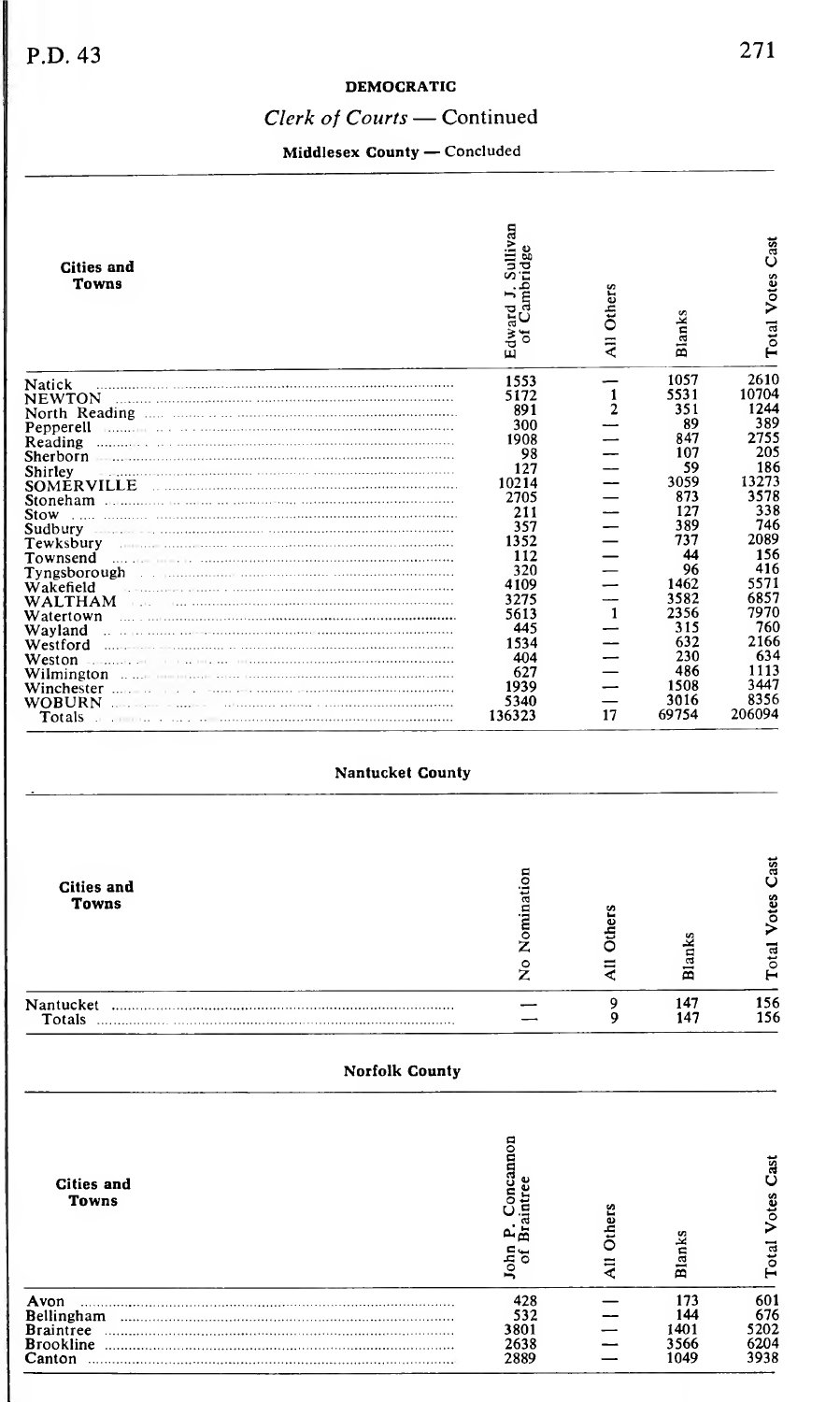**Cities and Towns** 

Nantucket<br>Totals

#### DEMOCRATIC

## Clerk of Courts — Continued

Middlesex County — Concluded

| <b>Cities and</b><br>Towns                                                                                                                                                                                                                                               | Sullivan<br>ambridge<br>Edward J. | Others<br>Ę    | Blanks | Cast<br>Total Votes |
|--------------------------------------------------------------------------------------------------------------------------------------------------------------------------------------------------------------------------------------------------------------------------|-----------------------------------|----------------|--------|---------------------|
| Natick                                                                                                                                                                                                                                                                   | 1553                              |                | 1057   | 2610                |
| <b>NEWTON</b>                                                                                                                                                                                                                                                            | 5172                              | 1              | 5531   | 10704               |
| North Reading<br>The community of the community of the community of the community of the community of the community of the community of the community of the community of the community of the community of the community of the community of t                          | 891                               | $\overline{c}$ | 351    | 1244                |
| Pepperell<br><b>Service College</b>                                                                                                                                                                                                                                      | 300                               |                | 89     | 389                 |
| Reading                                                                                                                                                                                                                                                                  | 1908                              |                | 847    | 2755                |
| Sherborn                                                                                                                                                                                                                                                                 | 98                                |                | 107    | 205                 |
| Shirley                                                                                                                                                                                                                                                                  | 127                               |                | 59     | 186                 |
| <b>SOMERVILLE</b>                                                                                                                                                                                                                                                        | 10214                             |                | 3059   | 13273               |
| Stoneham                                                                                                                                                                                                                                                                 | 2705                              |                | 873    | 3578                |
| Stow                                                                                                                                                                                                                                                                     | 211                               |                | 127    | 338                 |
| Sudbury                                                                                                                                                                                                                                                                  | 357                               |                | 389    | 746                 |
| Tewksbury                                                                                                                                                                                                                                                                | 1352                              |                | 737    | 2089                |
| Townsend<br>and the company of the company of the company of the company of the company of the company of the company of the                                                                                                                                             | 112                               |                | 44     | 156                 |
| Tyngsborough                                                                                                                                                                                                                                                             | 320                               |                | 96     | 416                 |
| Wakefield                                                                                                                                                                                                                                                                | 4109                              |                | 1462   | 5571                |
| <b>WALTHAM</b>                                                                                                                                                                                                                                                           | 3275                              |                | 3582   | 6857                |
| Watertown                                                                                                                                                                                                                                                                | 5613                              |                | 2356   | 7970                |
| Wavland                                                                                                                                                                                                                                                                  | 445                               |                | 315    | 760                 |
| Westford                                                                                                                                                                                                                                                                 | 1534                              |                | 632    | 2166                |
|                                                                                                                                                                                                                                                                          | 404                               |                | 230    | 634                 |
| Weston<br>The contract of the component of the component of the component of the component of the contract of the contract of the contract of the contract of the contract of the contract of the contract of the contract of the contra                                 | 627                               |                | 486    | 1113                |
| Wilmington<br>The massive case processing income and considerably consider                                                                                                                                                                                               | 1939                              |                | 1508   | 3447                |
| Winchester<br>$\mathcal{L} = \mathcal{L} = \{ \mathcal{L} \in \mathcal{L} \}$ . The contract of the contract of the contract of the contract of the contract of the contract of the contract of the contract of the contract of the contract of the contract of the cont | 5340                              |                | 3016   | 8356                |
| <b>WOBURN</b><br>Totals                                                                                                                                                                                                                                                  | 136323                            | 17             | 69754  | 206094              |
|                                                                                                                                                                                                                                                                          |                                   |                |        |                     |

| | No Nomination

All Others

 $\frac{9}{9}$ 

**Blanks** 

 $\frac{147}{147}$ 

**Norfolk County** 

| <b>Cities and</b><br><b>Towns</b> | Ξ<br>Ē<br>룡 | ther | a<br>Blan | ä<br>Votes<br><b>Total</b> |
|-----------------------------------|-------------|------|-----------|----------------------------|
| Avon                              | 428         |      | 173       | 601                        |
| Bellingham                        | 532         |      | 144       | 676                        |
| <b>Braintree</b>                  | 3801        |      | 1401      | 5202                       |
| <b>Brookline</b>                  | 2638        |      | 3566      | 6204                       |
| Canton                            | 2889        |      | 1049      | 3938                       |

notal Votes Cast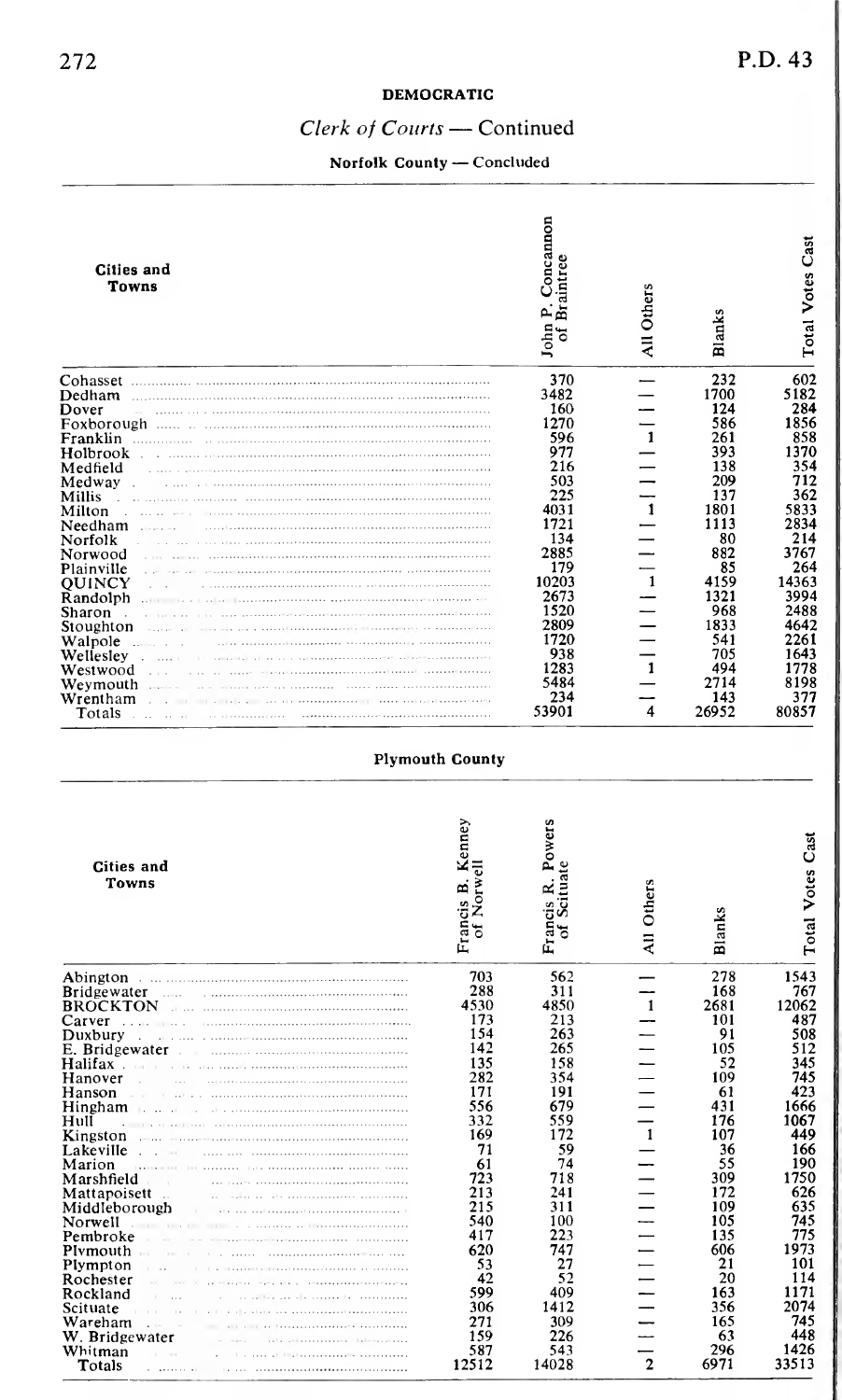## Clerk of Courts — Continued

Norfolk County — Concluded

| Cities and<br>Towns                                                                                                                                                                                                                                                                                                                                                                                                                                                                                                                                                                                                                                                                                                                                                                                                                                                                                                                                                                                                                                                                                                                                                                                                                                                                                                                                                                                                                                          |                                                                                                                                                                                                 | John P. Concannon<br>of Braintree                                                                                                                                                              | All Others    | Blanks                                                                                                                                                                                         | <b>Total Votes Cast</b>                                                                                                                                                                                                                                                      |
|--------------------------------------------------------------------------------------------------------------------------------------------------------------------------------------------------------------------------------------------------------------------------------------------------------------------------------------------------------------------------------------------------------------------------------------------------------------------------------------------------------------------------------------------------------------------------------------------------------------------------------------------------------------------------------------------------------------------------------------------------------------------------------------------------------------------------------------------------------------------------------------------------------------------------------------------------------------------------------------------------------------------------------------------------------------------------------------------------------------------------------------------------------------------------------------------------------------------------------------------------------------------------------------------------------------------------------------------------------------------------------------------------------------------------------------------------------------|-------------------------------------------------------------------------------------------------------------------------------------------------------------------------------------------------|------------------------------------------------------------------------------------------------------------------------------------------------------------------------------------------------|---------------|------------------------------------------------------------------------------------------------------------------------------------------------------------------------------------------------|------------------------------------------------------------------------------------------------------------------------------------------------------------------------------------------------------------------------------------------------------------------------------|
| Dedham<br>Dover<br>Foxborough<br>Holbrook<br>$\sim$ $ \sim$<br>Medfield<br>Medway<br>a series de conserva conservado no conservado conservado con conservado<br>Millis<br>Milton<br>and the company of the company of the company of the company of the company of the company of the company of the<br>Needham<br>Norfolk<br>Norwood<br>Plainville<br>QUINCY<br>is a la characteristic material and communications of the<br>Randolph<br>$\sim 100$ km s $^{-1}$<br>Sharon .<br>and an anti-communication communication communities<br>Stoughton<br>and a<br>and an announcement in income processing<br>Walpole<br>service of a communication community<br>Wellesley<br>$\mathcal{L} = 1.11$<br>Westwood<br>$\sim$ 1 $\times$<br>Weymouth<br>The contracts with a contract of the contract of the contract of the contract of the contract of the contract of the contract of the contract of the contract of the contract of the contract of the contract of the contract<br>Wrentham<br>Totals<br>÷.<br>×.<br>the company of the company                                                                                                                                                                                                                                                                                                                                                                                                                 |                                                                                                                                                                                                 | 370<br>3482<br>160<br>1270<br>596<br>977<br>216<br>503<br>225<br>4031<br>1721<br>134<br>2885<br>179<br>10203<br>2673<br>1520<br>2809<br>1720<br>938<br>1283<br>5484<br>234<br>53901            |               | 232<br>1700<br>124<br>586<br>261<br>393<br>138<br>209<br>137<br>1801<br>1113<br>80<br>882<br>85<br>4159<br>1321<br>968<br>1833<br>541<br>705<br>494<br>2714<br>143<br>26952                    | 602<br>5182<br>284<br>1856<br>858<br>1370<br>354<br>712<br>362<br>833<br>2834<br>214<br>3767<br>264<br>14363<br>3994<br>2488<br>4642<br>2261<br>1643<br>1778<br>8198<br>377<br>80857                                                                                         |
|                                                                                                                                                                                                                                                                                                                                                                                                                                                                                                                                                                                                                                                                                                                                                                                                                                                                                                                                                                                                                                                                                                                                                                                                                                                                                                                                                                                                                                                              | <b>Plymouth County</b>                                                                                                                                                                          |                                                                                                                                                                                                |               |                                                                                                                                                                                                |                                                                                                                                                                                                                                                                              |
| Cities and<br>Towns                                                                                                                                                                                                                                                                                                                                                                                                                                                                                                                                                                                                                                                                                                                                                                                                                                                                                                                                                                                                                                                                                                                                                                                                                                                                                                                                                                                                                                          | Francis B. Kenney<br>of Norwell                                                                                                                                                                 | Francis R. Powers<br>Scituate<br>៵                                                                                                                                                             | All Others    | Blanks                                                                                                                                                                                         | <b>Total Votes Cast</b>                                                                                                                                                                                                                                                      |
| <b>Bridgewater</b><br>BROCKTON<br>Carver<br>$y$ , and the commutation of the commutation of $y$<br>Duxbury<br>E. Bridgewater<br>Halifax<br>Hanover<br>Hanson<br>Hingham<br>a a component and a component of the component of the component of the component of the component of the component of the component of the component of the component of the component of the component of the component of th<br>Hull<br>Kingston<br>The communication of the communication of the communication<br>Lakeville<br>$\epsilon \rightarrow +0$ . This are maintenancements and an<br>Marion<br>in comme to commence and and<br>Marshfield<br>$\lambda$<br>Mattapoisett<br>$\begin{minipage}{.4\linewidth} \begin{tabular}{ c c c c } \hline \multicolumn{1}{ c }{\textbf{a}} & \multicolumn{1}{ c }{\textbf{a}} & \multicolumn{1}{ c }{\textbf{a}} & \multicolumn{1}{ c }{\textbf{a}} & \multicolumn{1}{ c }{\textbf{a}} & \multicolumn{1}{ c }{\textbf{a}} & \multicolumn{1}{ c }{\textbf{a}} & \multicolumn{1}{ c }{\textbf{a}} & \multicolumn{1}{ c }{\textbf{a}} & \multicolumn{1}{ c }{\textbf{a}} & \multicolumn{1}{ c$<br>Middleborough<br>$\sim$<br>Norwell<br>Contracto de la componentación de la componentación<br>Pembroke<br><b>X</b> at the strain construction of the common<br>Plymouth<br>Plympton<br>$\sim$ $\alpha$<br>Rochester<br>Rockland<br>the company and consider the assessment<br>Scituate<br>Wareham<br>ò.<br>W. Bridgewater<br>Whitman | 703<br>288<br>4530<br>173<br>154<br>142<br>135<br>282<br>171<br>556<br>332<br>169<br>71<br>61<br>723<br>213<br>215<br>540<br>417<br>620<br>53<br>42<br>599<br>306<br>271<br>159<br>587<br>12512 | 562<br>311<br>4850<br>213<br>263<br>265<br>158<br>354<br>191<br>679<br>559<br>172<br>59<br>74<br>718<br>241<br>311<br>100<br>223<br>747<br>$\frac{27}{52}$<br>409<br>1412<br>309<br>226<br>543 | $\frac{1}{2}$ | 278<br>168<br>2681<br>101<br>91<br>105<br>52<br>109<br>61<br>431<br>176<br>107<br>36<br>55<br>309<br>172<br>109<br>105<br>135<br>606<br>$^{21}_{20}$<br>163<br>356<br>165<br>63<br>296<br>6971 | $\begin{array}{r}\n 1543 \\  \hline\n 767 \\  12062 \\  487 \\  \hline\n 500\n \end{array}$<br>508<br>512<br>345<br>745<br>423<br>1666<br>1067<br>449<br>166<br>190<br>1750<br>626<br>635<br>745<br>775<br>1973<br>101<br>114<br>1171<br>2074<br>745<br>448<br>1426<br>33513 |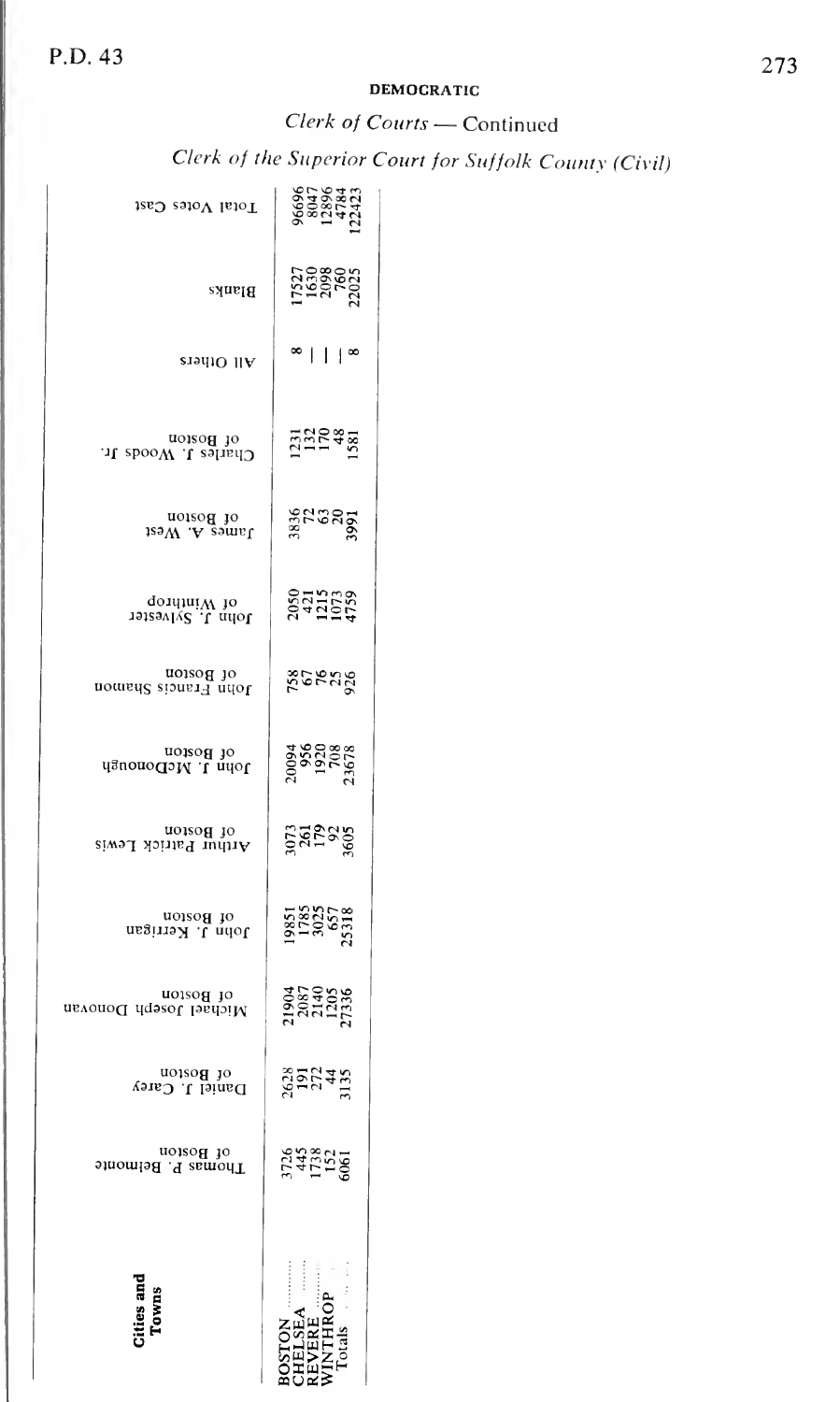# Clerk of Courts - Continued

Clerk of the Superior Court for Suffolk County (Civil)

| Total Votes Cast                              | 9695<br>804788<br>20473       |
|-----------------------------------------------|-------------------------------|
| Blanks                                        | 123883                        |
| ersdrO IIA                                    | ∞ ∣∣<br>$\vert \cdot \rangle$ |
| of Boston<br>Charles J. Woods Jr.             | <u>ភ្នុង</u> ក្នុងឆ្ន         |
| of Boston<br>Manes A. W<br>1sə <sub>M</sub> v | ខ្លីដូនខ្លួ                   |
| aordini Johnes<br>qondiniW to<br>19189AJAS    | 84258                         |
| of Boston<br>nomal Shamon                     | ខ្លួនងង់ខ្លួ                  |
| ot Boston<br>John J. McDonough                | gagag<br>gagag                |
| ot Boston<br>Arthur Patrick Lewis             | ខ្លីដូដ្ឋិនខ្លី               |
| of Boston<br>Iohn J. Kerrigan                 | ត្ត<br>ក្នុងក្នុង<br>ត្ត      |
| of Boston<br>Michael Joseph Donovan           | 387425<br>287425              |
| ot Boston<br>Daniel J. Carey                  | ដ្ឋិគម្ពងជិ                   |
| of Boston<br>Thomas P. Belmonte               | 24289                         |
| ities and<br>Towns                            | :<br>ţ<br>į                   |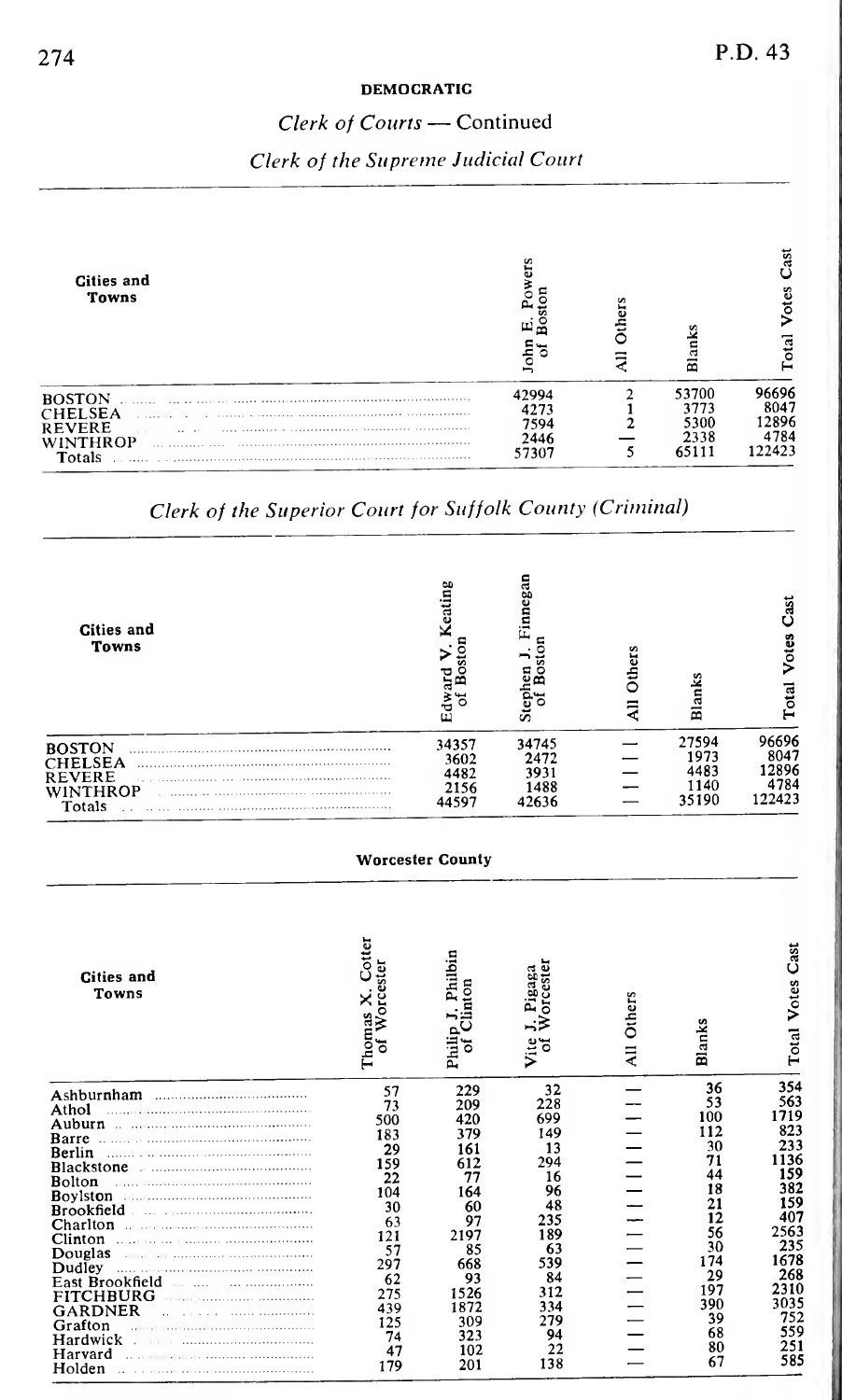# Clerk of Courts — Continued Clerk of the Supreme Judicial Court

| Cities and<br>Towns                                                    |                                        | ā<br>$\overline{a}$                    | ā<br>otes<br><b>Fotal</b>                |
|------------------------------------------------------------------------|----------------------------------------|----------------------------------------|------------------------------------------|
| <b>BOSTON</b><br>CHELSEA<br><b>REVERE</b><br><b>WINTHROP</b><br>Totals | 42994<br>4273<br>7594<br>2446<br>57307 | 53700<br>3773<br>5300<br>2338<br>65111 | 96696<br>8047<br>12896<br>4784<br>122423 |

# Clerk of the Superior Court for Suffolk County (Criminal)

| Cities and<br>Towns                                                    | œ                                      | innegan                                | ā<br>ξ | Blan                                   | ä<br>Votes<br>Total                      |
|------------------------------------------------------------------------|----------------------------------------|----------------------------------------|--------|----------------------------------------|------------------------------------------|
| <b>BOSTON</b><br><b>CHELSEA</b><br><b>REVERE</b><br>WINTHROP<br>Totals | 34357<br>3602<br>4482<br>2156<br>44597 | 34745<br>2472<br>3931<br>1488<br>42636 |        | 27594<br>1973<br>4483<br>1140<br>35190 | 96696<br>8047<br>12896<br>4784<br>122423 |

#### **Worcester County**

| Cities and<br>Towns                                                                                                                                                                                                                                                                                                                                                                                                                                                                                                                                  | a<br>ster<br>Thomas<br>ቴ | Philbin<br>nton<br>Philip | orcester<br>Pigaga | Others<br>Ę | Blanks | Cast<br>Votes<br>Total |
|------------------------------------------------------------------------------------------------------------------------------------------------------------------------------------------------------------------------------------------------------------------------------------------------------------------------------------------------------------------------------------------------------------------------------------------------------------------------------------------------------------------------------------------------------|--------------------------|---------------------------|--------------------|-------------|--------|------------------------|
|                                                                                                                                                                                                                                                                                                                                                                                                                                                                                                                                                      | 57                       | 229                       | 32                 |             | 36     | 354                    |
| Athol                                                                                                                                                                                                                                                                                                                                                                                                                                                                                                                                                | 73                       | 209                       | 228                |             | 53     | 563                    |
| Auburn                                                                                                                                                                                                                                                                                                                                                                                                                                                                                                                                               | 500                      | 420                       | 699                |             | 100    | 719                    |
| Barre                                                                                                                                                                                                                                                                                                                                                                                                                                                                                                                                                | 183                      | 379                       | 149                |             | 12     | 823                    |
| Berlin                                                                                                                                                                                                                                                                                                                                                                                                                                                                                                                                               | 29                       | 16.                       | 13                 |             | 30     | 233                    |
| <b>Blackstone</b>                                                                                                                                                                                                                                                                                                                                                                                                                                                                                                                                    | 159                      |                           | 294                |             | 71     | 136                    |
| Bolton                                                                                                                                                                                                                                                                                                                                                                                                                                                                                                                                               | 22                       |                           | 16                 |             | 44     | 159                    |
| Boylston                                                                                                                                                                                                                                                                                                                                                                                                                                                                                                                                             | 104                      | 164                       | 96                 |             | 18     | 382                    |
| <b>Brookfield</b><br>$\mathcal{L}$ . The contract of the contract of the contract of the contract of the contract of the contract of the contract of the contract of the contract of the contract of the contract of the contract of the contract of th                                                                                                                                                                                                                                                                                              | 30                       | 60                        | 48                 |             | 21     | 159                    |
| Charlton<br>$\label{eq:1} \begin{minipage}{0.9\linewidth} \begin{minipage}{0.9\linewidth} \begin{minipage}{0.9\linewidth} \end{minipage} \begin{minipage}{0.9\linewidth} \begin{minipage}{0.9\linewidth} \end{minipage} \begin{minipage}{0.9\linewidth} \end{minipage} \begin{minipage}{0.9\linewidth} \begin{minipage}{0.9\linewidth} \end{minipage} \begin{minipage}{0.9\linewidth} \end{minipage} \begin{minipage}{0.9\linewidth} \end{minipage} \begin{minipage}{0.9\linewidth} \end{minipage} \begin{minipage}{0.9\linewidth} \end{minipage} \$ | 63                       | 97                        | 235                |             | 12     | 40.                    |
| Clinton<br>as a film on the common announcements                                                                                                                                                                                                                                                                                                                                                                                                                                                                                                     | 121                      | 2197                      | 189                |             | 56     | 2563                   |
| Douglas<br>with a commission of the commission of the commission of the commission of the commission of the commission of                                                                                                                                                                                                                                                                                                                                                                                                                            | 57                       | 85                        | 63                 |             | 30     | 235                    |
| Dudley                                                                                                                                                                                                                                                                                                                                                                                                                                                                                                                                               | 297                      | 668                       | 539                |             | 174    | 1678                   |
| East Brookfield<br>.<br>and there                                                                                                                                                                                                                                                                                                                                                                                                                                                                                                                    | 62                       | 93                        | 84                 |             | 29     | 268                    |
| <b>FITCHBURG</b><br>and and an article of contract and article of the contract of the contract of the contract of the contract of                                                                                                                                                                                                                                                                                                                                                                                                                    | 275                      | 1526                      |                    |             | 197    | 2310                   |
| <b>GARDNER</b>                                                                                                                                                                                                                                                                                                                                                                                                                                                                                                                                       | 439                      |                           | 334                |             | 390    | :035                   |
| Grafton                                                                                                                                                                                                                                                                                                                                                                                                                                                                                                                                              | 125                      | 309                       | 279                |             | 39     | 752                    |
| Hardwick                                                                                                                                                                                                                                                                                                                                                                                                                                                                                                                                             | 74                       | 323                       | 94                 |             | 68     | 559                    |
| Harvard                                                                                                                                                                                                                                                                                                                                                                                                                                                                                                                                              | 47                       | 102                       | 22                 |             | 80     | 25.                    |
| Holden                                                                                                                                                                                                                                                                                                                                                                                                                                                                                                                                               | 179                      | 201                       | 138                |             | 67     | 585                    |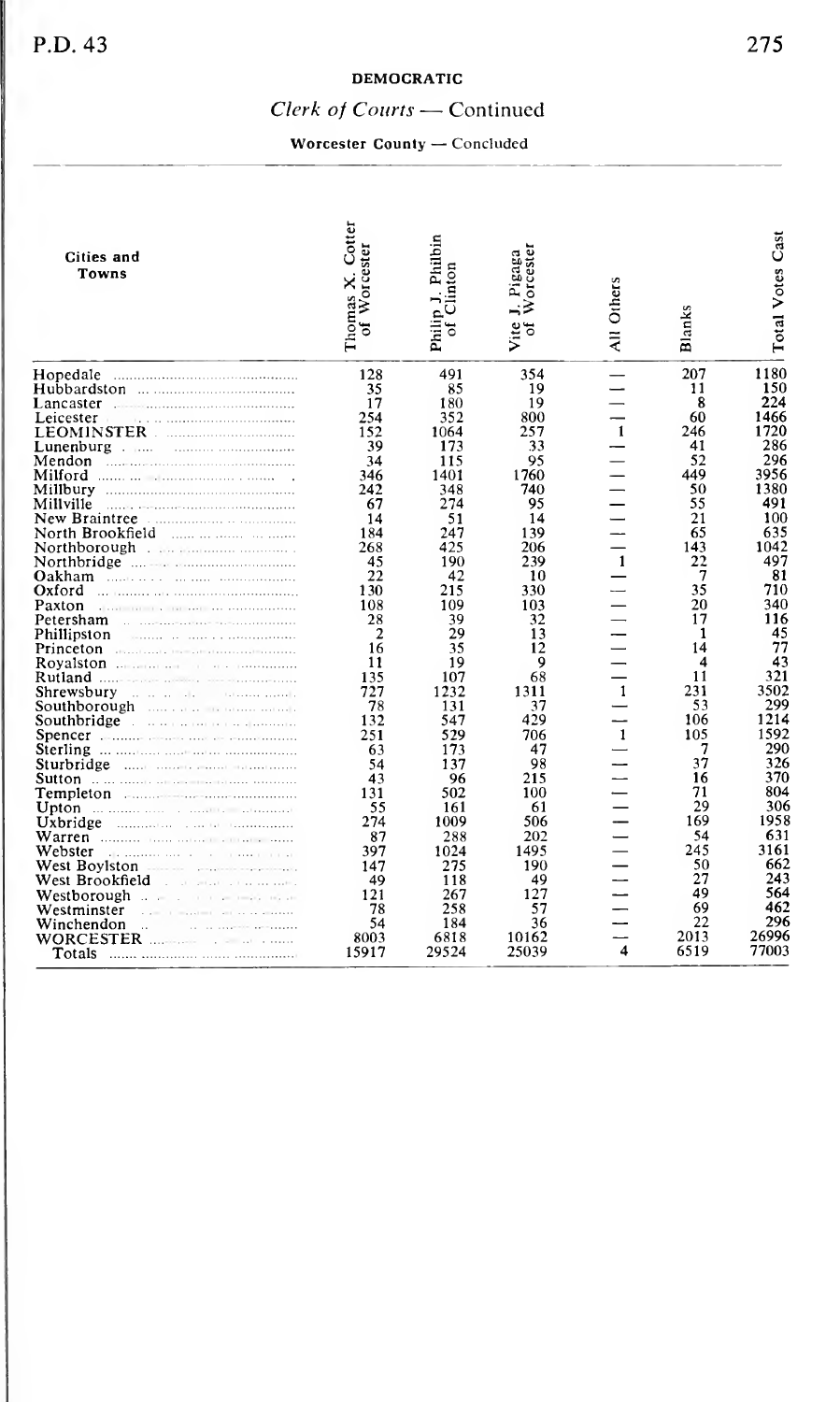# Clerk of Courts — Continued

## Worcester County — Concluded

| Cities and<br>Towns                                                        | Cotter<br>Worcester<br>Thomas X.<br>ă | Philip J. Philbin<br>Clinton<br>đ | orcester<br>Pigaga<br>⋧<br>Vite<br>៵ | Others<br>₹         | Blanks  | Cast<br><b>Total Votes</b> |
|----------------------------------------------------------------------------|---------------------------------------|-----------------------------------|--------------------------------------|---------------------|---------|----------------------------|
| Hopedale                                                                   | 128                                   | 491                               | 354                                  |                     | 207     | 1180                       |
|                                                                            | 35                                    | 85                                | 19                                   |                     | 11      | 150                        |
| Lancaster                                                                  | 17                                    | 180                               | 19                                   |                     | 8       | 224                        |
| Leicester                                                                  | 254                                   | 352                               | 800                                  |                     | 60      | 1466                       |
| <b>LEOMINSTER</b>                                                          | 152                                   | 1064                              | 257                                  | $\mathbf{1}$        | 246     | 1720                       |
| $L$ unenburg                                                               | 39                                    | 173                               | 33                                   |                     | 41      | 286                        |
| Mendon                                                                     | 34                                    | 115                               | 95                                   |                     | 52      | 296                        |
|                                                                            | 346                                   | 1401                              | 1760                                 |                     | 449     | 3956                       |
|                                                                            | 242                                   | 348                               | 740                                  |                     | 50      | 1380                       |
| Millville                                                                  | 67                                    | 274                               | 95                                   |                     | 55      | 491                        |
|                                                                            | 14                                    | 51                                | 14                                   |                     | 21      | 100                        |
| North Brookfield                                                           | 184                                   | 247                               | 139                                  |                     | 65      | 635                        |
|                                                                            | 268                                   | 425                               | 206                                  |                     | 143     | 1042                       |
| Northbridge $\ldots$ . The continuum of $\ldots$                           | 45                                    | 190                               | 239                                  | $\mathbf{1}$        | 22      | 497                        |
|                                                                            | 22                                    | 42                                | 10                                   |                     | 7       | 81                         |
| Oxford<br>The Territory of Commission and Charles and                      | 130                                   | 215                               | 330                                  |                     | 35      | 710                        |
| Paxton<br>also di partire al provenir en assemblemento                     | 108                                   | 109                               | 103                                  |                     | 20      | 340                        |
| Petersham                                                                  | 28                                    | 39                                | 32                                   |                     | 17      | 116                        |
| Phillipston<br>Thomas is not an announced the                              | 2                                     | 29                                | 13                                   |                     | 1       | 45<br>77                   |
|                                                                            | 16                                    | 35                                | 12                                   |                     | 14      | 43                         |
|                                                                            | 11                                    | 19                                | 9                                    |                     | 4<br>11 | 321                        |
|                                                                            | 135<br>727                            | 107<br>1232                       | 68<br>1311                           | $\mathbf{1}$        | 231     | 3502                       |
|                                                                            | 78                                    | 131                               | 37                                   |                     | 53      | 299                        |
|                                                                            | 132                                   | 547                               | 429                                  |                     | 106     | 1214                       |
|                                                                            | 251                                   | 529                               | 706                                  | $\mathbf{1}$        | 105     | 1592                       |
|                                                                            | 63                                    | 173                               | 47                                   |                     | 7       | 290                        |
| Sturbridge<br>Terrait considerational distances and                        | 54                                    | 137                               | 98                                   |                     | 37      | 326                        |
|                                                                            | 43                                    | 96                                | 215                                  |                     | 16      | 370                        |
|                                                                            | 131                                   | 502                               | 100                                  |                     | 71      | 804                        |
|                                                                            | 55                                    | 161                               | 61                                   |                     | 29      | 306                        |
|                                                                            | 274                                   | 1009                              | 506                                  |                     | 169     | 1958                       |
|                                                                            | 87                                    | 288                               | 202                                  |                     | 54      | 631                        |
| Webster<br>The company was a strategy of the property of the               | 397                                   | 1024                              | 1495                                 |                     | 245     | 3161                       |
| West Boviston<br><b>CONTRACTOR</b> CONTRACTOR PROPERTY AND                 | 147                                   | 275                               | 190                                  |                     | 50      | 662                        |
| West Brookfield<br>the contract of a construction                          | 49                                    | 118                               | 49                                   |                     | 27      | 243                        |
|                                                                            | 121                                   | 267                               | 127                                  |                     | 49      | 564                        |
| Westminster<br>the party of the particular contract and the party party of | 78                                    | 258                               | 57                                   |                     | 69      | 462                        |
| Winchendon<br>and the company approaches<br>à.                             | 54                                    | 184                               | 36                                   |                     | 22      | 296                        |
|                                                                            | 8003                                  | 6818                              | 10162                                |                     | 2013    | 26996                      |
| Totals                                                                     | 15917                                 | 29524                             | 25039                                | $\overline{\bf{4}}$ | 6519    | 77003                      |
|                                                                            |                                       |                                   |                                      |                     |         |                            |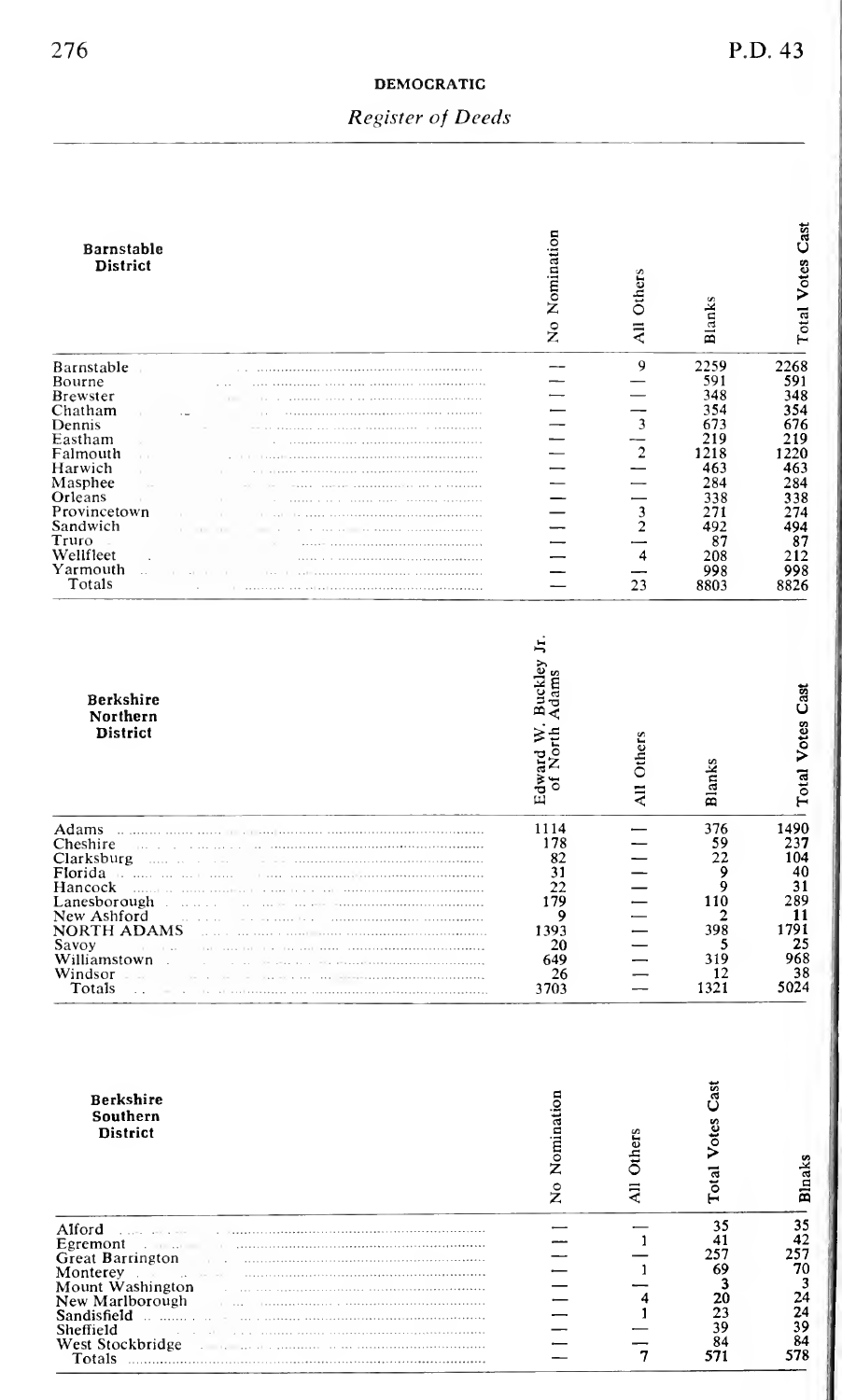# Register of Deeds

| Barnstable<br>District                                                                                                                                                                                                                                                                                                                                                                                | No Nomination                                                                | All Others                                                   | Blanks                                                                                                  | $\begin{array}{c c}\n\hline\n\text{1} & \text{Total Votes Cast} \\ \hline\n\text{1} & \text{Total Votes Cast}\n\end{array}$ |
|-------------------------------------------------------------------------------------------------------------------------------------------------------------------------------------------------------------------------------------------------------------------------------------------------------------------------------------------------------------------------------------------------------|------------------------------------------------------------------------------|--------------------------------------------------------------|---------------------------------------------------------------------------------------------------------|-----------------------------------------------------------------------------------------------------------------------------|
| Barnstable<br>Bourne<br>Brewster<br>Chatham<br>Dennis<br>the control of the control of the control of the control of the control of<br>Eastham<br>the contract of the contract of the contract of<br>Falmouth<br>Harwich<br>Masphee<br>Orleans<br>Provincetown<br>Sandwich<br>Truro<br>Wellfleet<br>Yarmouth<br>Totals                                                                                | -------------                                                                | 9<br>$\frac{-3}{2}$ $\frac{-2}{3}$ $\frac{-1}{4}$<br>$^{23}$ | 2259<br>348<br>354<br>673<br>219<br>1218<br>463<br>284<br>338<br>271<br>492<br>87<br>208<br>998<br>8803 | 348<br>354<br>676<br>219<br>1220<br>463<br>284<br>338<br>274<br>494<br>$\frac{87}{212}$<br>998<br>8826                      |
| Berkshire<br>Northern<br>District                                                                                                                                                                                                                                                                                                                                                                     | Edward W. Buckley Jr.<br>North Adams<br>đ                                    | All Others                                                   | Blanks                                                                                                  | $\frac{12}{100}$ Total Votes Cast                                                                                           |
| Adams<br>Cheshire<br>and the con-<br>Clarksburg<br><b>Same as</b><br>Florida<br>the access that the<br>Hancock<br><b>CONTRACTOR</b><br>Lanesborough<br>New Ashford<br><b>NORTH ADAMS</b><br>Savoy<br>Williamstown<br>and and an and an arrangement of the state of the state of the state of the state of the<br>Windsor<br>the company's company's company's company's company's company's<br>Totals | 1114<br>178<br>82<br>31<br>22<br>179<br>9<br>1393<br>20<br>649<br>26<br>3703 |                                                              | 376<br>$\frac{59}{22}$<br>9<br>ő,<br>110<br>$\overline{2}$<br>398<br>š<br>319<br>12<br>1321             | 40<br>31<br>289<br>$\begin{array}{r} 11 \\ 11 \\ 1791 \\ 25 \\ 968 \\ 38 \\ 5024 \end{array}$                               |
| Berkshire<br>Southern<br><b>District</b>                                                                                                                                                                                                                                                                                                                                                              | No Nomination                                                                | All Others                                                   | Total Votes Cast                                                                                        |                                                                                                                             |
| Alford<br>Egremont<br>Great Barrington<br>Monterey<br>Mount Washington<br>New Marlborough<br>Sandisfield<br>Sheffield<br>West Stockbridge<br>Totals                                                                                                                                                                                                                                                   |                                                                              | $\mathbf{1}$<br>$\mathbf{1}$<br>$\frac{4}{1}$<br>7           | $\frac{35}{41}$<br>257<br>$\frac{69}{3}$<br>20<br>23<br>39<br>84<br>571                                 |                                                                                                                             |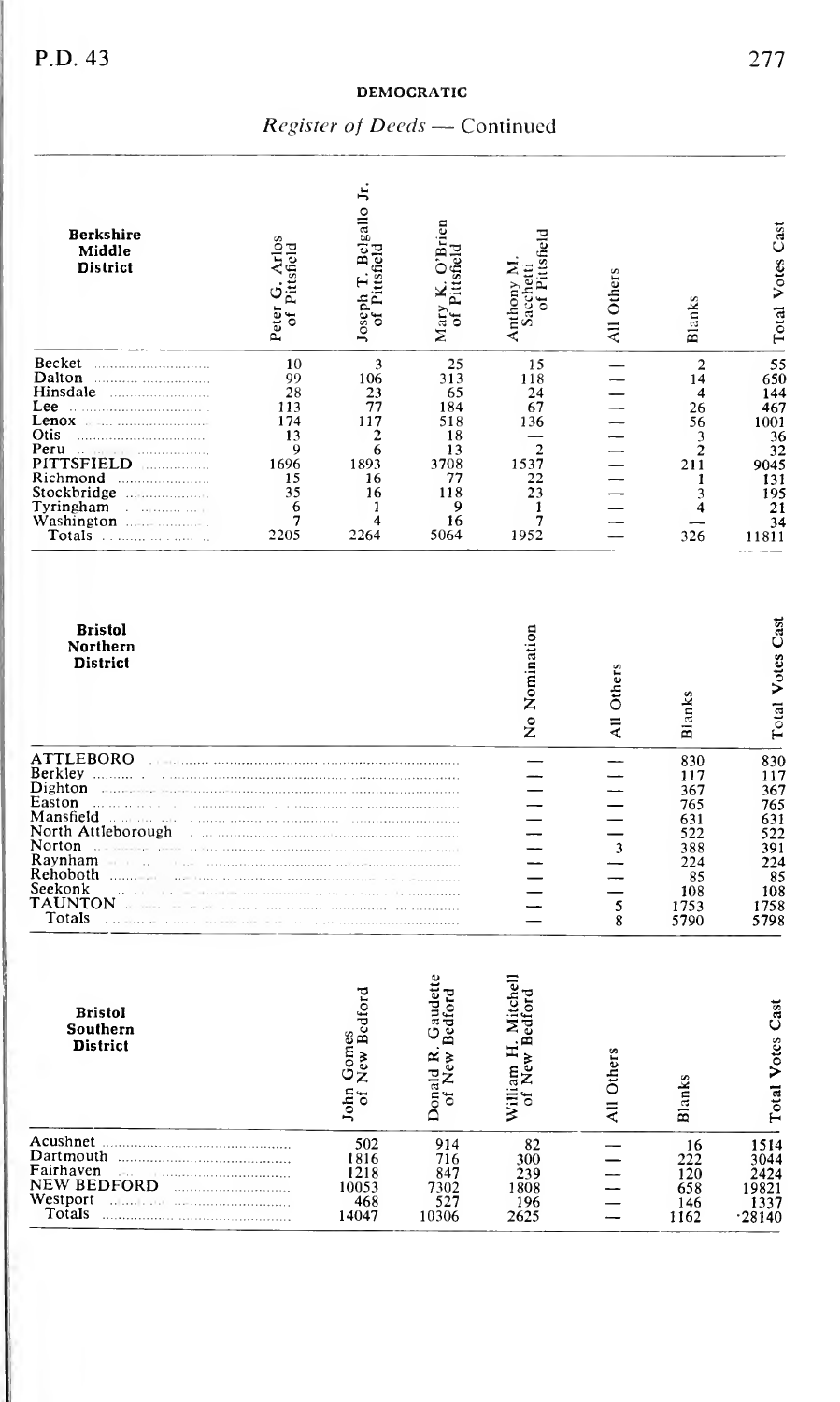| <b>Berkshire</b><br>Middle<br>District                                                                                                                                                                                                                                                                                                                                                                                                                                                                                                                                                                                                                                     | Peter G. Arlos<br>of Pittsfield                                                             | Joseph T. Belgallo Jr.<br>of Pittsfield                                                         | Mary K. O'Brien<br>of Pittsfield                                                                | of Pittsfield<br>Anthony M<br>Sacchetti                                                             | All Others                                      | Blanks                                                                                                                                                                                          | <b>Total Votes Cast</b>                                                                                |
|----------------------------------------------------------------------------------------------------------------------------------------------------------------------------------------------------------------------------------------------------------------------------------------------------------------------------------------------------------------------------------------------------------------------------------------------------------------------------------------------------------------------------------------------------------------------------------------------------------------------------------------------------------------------------|---------------------------------------------------------------------------------------------|-------------------------------------------------------------------------------------------------|-------------------------------------------------------------------------------------------------|-----------------------------------------------------------------------------------------------------|-------------------------------------------------|-------------------------------------------------------------------------------------------------------------------------------------------------------------------------------------------------|--------------------------------------------------------------------------------------------------------|
| Becket<br>Lee<br>Otis<br>Peru<br>it is a manufacturer<br>PITTSFIELD<br>Stockbridge<br>Tyringham<br>$\alpha$ . The property state $\beta$                                                                                                                                                                                                                                                                                                                                                                                                                                                                                                                                   | 10<br>99<br>28<br>113<br>174<br>13<br>9<br>1696<br>$\frac{15}{35}$<br>$\frac{6}{7}$<br>2205 | 3<br>106<br>$\frac{23}{77}$<br>117<br>$\overline{c}$<br>6<br>1893<br>16<br>16<br>1<br>4<br>2264 | $\frac{25}{313}$<br>65<br>184<br>518<br>18<br>13<br>3708<br>77<br>118<br>$\frac{9}{16}$<br>5064 | 15<br>118<br>$\frac{24}{67}$<br>136<br>$\frac{2}{1537}$<br>$\frac{22}{23}$<br>$\frac{1}{7}$<br>1952 | _____________                                   | $\overline{a}$<br>14<br>$\overline{\bf{4}}$<br>$\frac{26}{56}$<br>$\begin{array}{c} 3 \overline{3} \\ 2 \overline{1} \\ 2 \overline{1} \end{array}$<br>1<br>3<br>$\overline{\mathbf{4}}$<br>326 | $\frac{55}{650}$<br>467<br>1001<br>$36$<br>$32$<br>9045<br>131<br>195<br>21<br>21<br>34<br>11811       |
| <b>Bristol</b><br>Northern<br><b>District</b>                                                                                                                                                                                                                                                                                                                                                                                                                                                                                                                                                                                                                              |                                                                                             |                                                                                                 |                                                                                                 | No Nomination                                                                                       | All Others                                      | Blanks                                                                                                                                                                                          | Total Votes Cast                                                                                       |
| ATTLEBORO<br>Easton<br>Mansfield<br>a a co-m-in-hann níom maniaire (co-chromain)<br>North Attleborough<br>Norton<br>Raynham<br>10. The contract of the company of the company of the company of the company of the company of the company of<br>Seekonk<br>the community of the community of the community of the community of the community of the community of the community of the community of the community of the community of the community of the community of the community of t<br><b>TAUNTON</b><br>se a composição de la componenta de construções de construções<br>Totals<br>a de code de la code e los este dos los el composiciones como concertos con con | and the community community and a straightfully                                             |                                                                                                 |                                                                                                 | <br> <br> <br> <br> <br> <br><br> <br><br><br>                                                      | $\frac{1}{s}$<br>$\frac{1}{s}$<br>$\frac{1}{s}$ | 830<br>117<br>367<br>765<br>631<br>522<br>388<br>224<br>85<br>108<br>1753<br>5790                                                                                                               | $-830$<br>$117$<br>$367$<br>$765$<br>$631$<br>$522$<br>$391$<br>$224$<br>$85$<br>$108$<br>1758<br>5798 |
| <b>Bristol</b><br>Southern<br>District                                                                                                                                                                                                                                                                                                                                                                                                                                                                                                                                                                                                                                     |                                                                                             | John Gomes<br>of New Bedford                                                                    | Donald R. Gaudette<br>New Bedford<br>ક                                                          | William H. Mitchell<br>New Bedford<br>ð                                                             | All Others                                      | Blanks                                                                                                                                                                                          | Total Votes Cast                                                                                       |
| Fairhaven<br><u>este del communicación de la compa</u><br>NEW BEDFORD<br>Westport<br>and and in a continuous community and<br>Totals                                                                                                                                                                                                                                                                                                                                                                                                                                                                                                                                       |                                                                                             | 502<br>1816<br>1218<br>10053<br>468<br>14047                                                    | 914<br>716<br>847<br>7302<br>527<br>10306                                                       | 82<br>300<br>239<br>1808<br>$\frac{196}{2625}$                                                      |                                                 | $\frac{16}{222}$<br>120<br>658<br>146<br>1162                                                                                                                                                   | 1514<br>3044<br>2424<br>19821<br>.28140                                                                |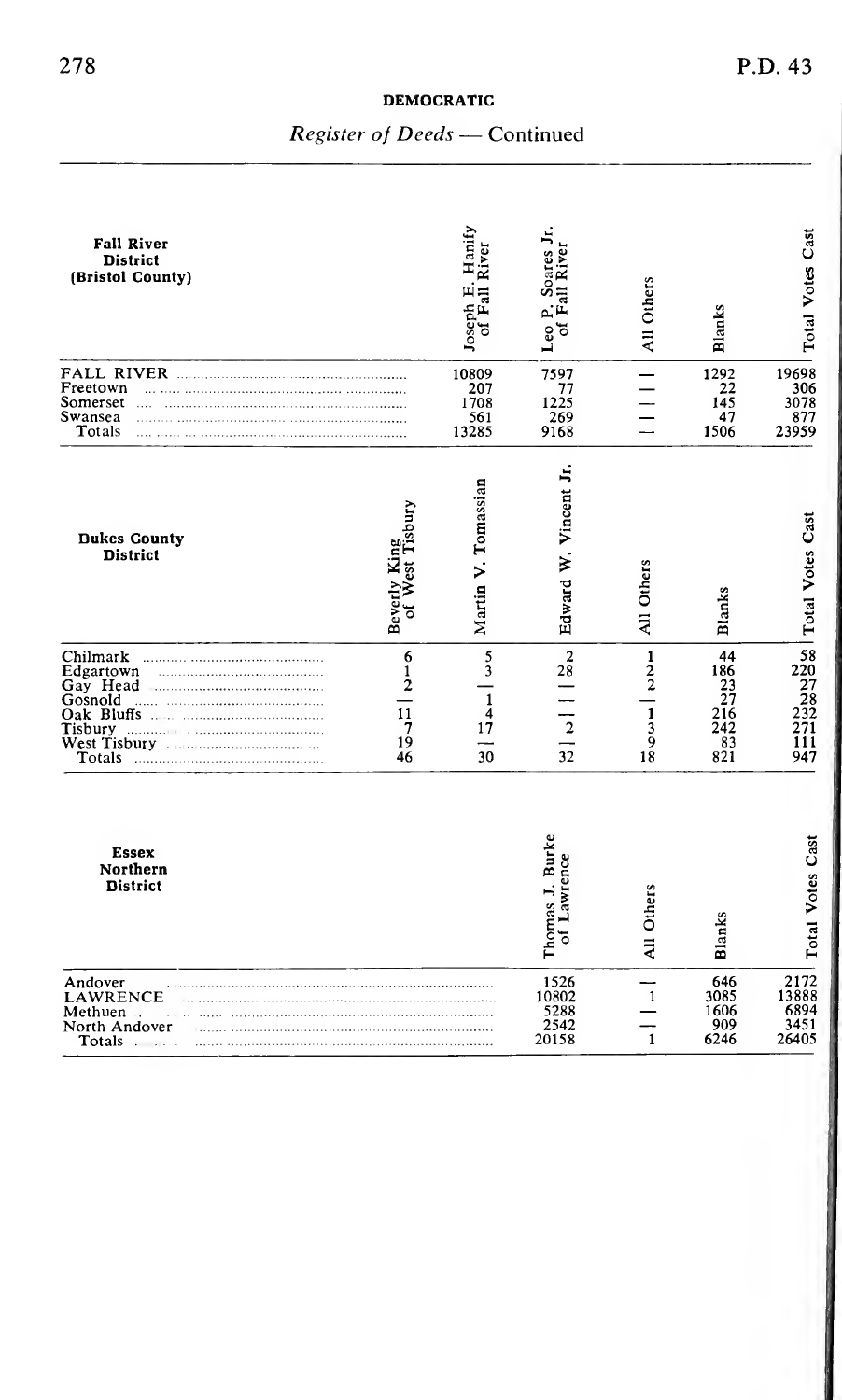| <b>Fall River</b><br><b>District</b><br>(Bristol County)                                                                                                                                                                                                                                       |                                                        | Joseph E. Hanify<br>River<br>Fall<br>ð         | Soares Jr.<br>Fall River<br>Leo 1<br>৳              | All Others                                    | Blanks                                           | Total Votes Cast                       |
|------------------------------------------------------------------------------------------------------------------------------------------------------------------------------------------------------------------------------------------------------------------------------------------------|--------------------------------------------------------|------------------------------------------------|-----------------------------------------------------|-----------------------------------------------|--------------------------------------------------|----------------------------------------|
| Freetown<br>Somerset<br>$\cdots$<br>Swansea<br>Totals                                                                                                                                                                                                                                          |                                                        | 10809<br>207<br>1708<br>561<br>13285           | 7597<br>77<br>1225<br>269<br>9168                   |                                               | 1292<br>22<br>145<br>47<br>1506                  | 19698<br>306<br>3078<br>877<br>23959   |
| <b>Dukes County</b><br><b>District</b>                                                                                                                                                                                                                                                         | of West Tisbury<br>Beverly King                        | Martin V. Tomassian                            | Edward W. Vincent Jr.                               | Others<br>Ę                                   | <b>Blanks</b>                                    | 222280 Total Votes Cast<br>2322273     |
| Chilmark<br>Edgartown<br>Gay Head<br>Gosnold<br>Tisbury<br>Totals $\ldots$ . $\ldots$ is a set of the set of the set of the set of the set of the set of the set of the set of the set of the set of the set of the set of the set of the set of the set of the set of the set of the set of t | 6<br>$\frac{1}{2}$<br>11<br>$\overline{7}$<br>19<br>46 | $\frac{5}{3}$<br>$\mathbf{1}$<br>4<br>17<br>30 | $\frac{2}{28}$<br>$\overline{2}$<br>$\overline{32}$ | $\frac{1}{2}$<br>$\mathbf{1}$<br>3<br>9<br>18 | 44<br>186<br>23<br>27<br>216<br>242<br>83<br>821 | 111<br>947                             |
| <b>Essex</b><br>Northern<br><b>District</b>                                                                                                                                                                                                                                                    |                                                        |                                                | Thomas J. Burke<br>Lawrence<br>đ                    | All Others                                    | Blanks                                           | Total Votes Cast                       |
| Andover<br>LAWRENCE<br>Methuen<br>North Andover<br>Totals                                                                                                                                                                                                                                      |                                                        |                                                | 1526<br>10802<br>5288<br>2542<br>20158              | $\mathbf{1}$<br>$\mathbf{1}$                  | 646<br>3085<br>1606<br>909<br>6246               | 2172<br>13888<br>6894<br>3451<br>26405 |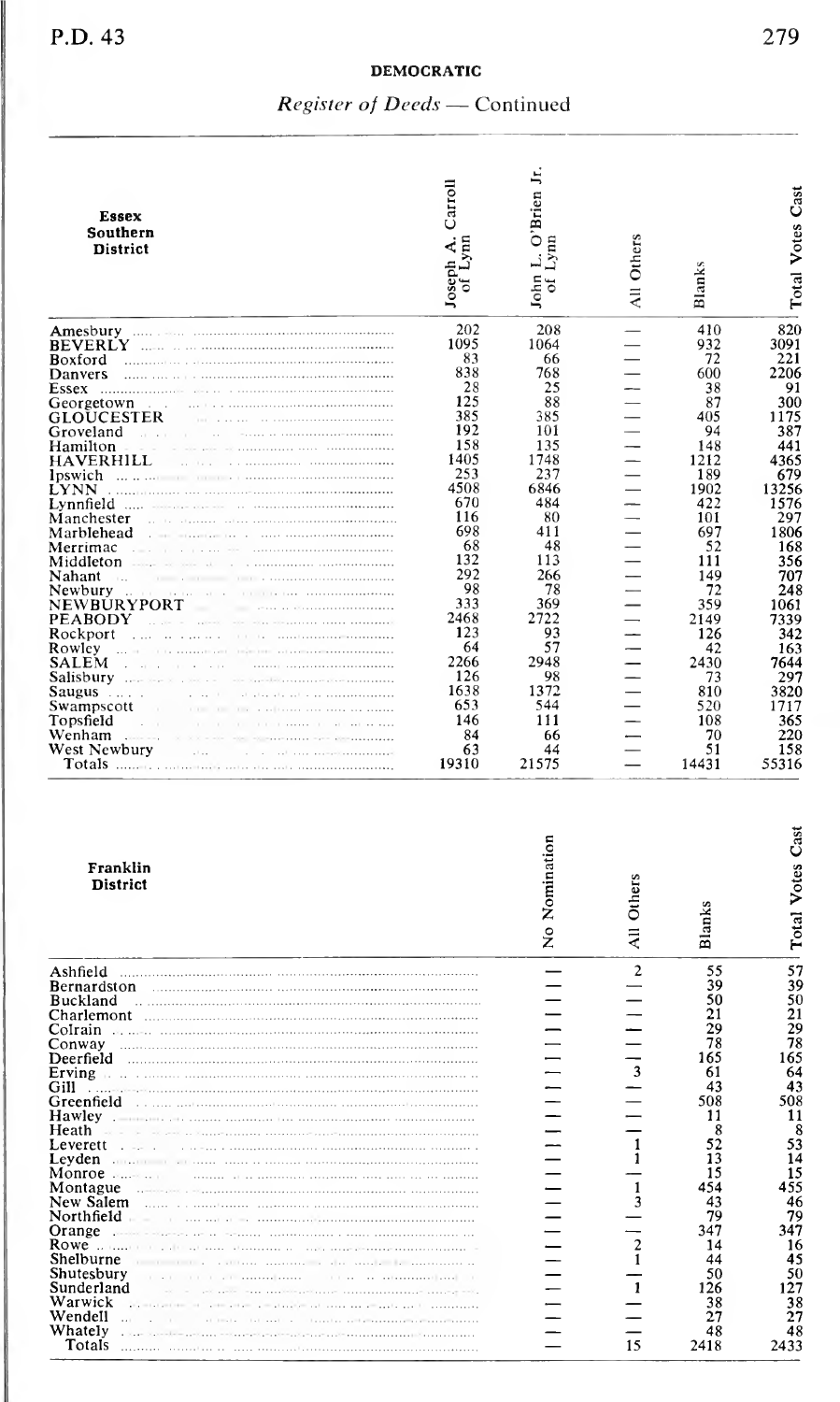| Essex<br>Southern<br>District                                                                                                                                                                                                                                                                                                                                                                                                                                                                                                                                                                                                                                                                                                                                                                                                                                                         | Joseph A. Carroll<br>of Lynn                                                                                                                                                                                           | John L. O'Brien Jr.<br>Lynn<br>ð                                                                                                                                                                                          | All Others                                                                                                                                                                               | Blanks                                                                                                                                                                                                                       | Total Votes Cast                                                                                                                                                                                                                           |
|---------------------------------------------------------------------------------------------------------------------------------------------------------------------------------------------------------------------------------------------------------------------------------------------------------------------------------------------------------------------------------------------------------------------------------------------------------------------------------------------------------------------------------------------------------------------------------------------------------------------------------------------------------------------------------------------------------------------------------------------------------------------------------------------------------------------------------------------------------------------------------------|------------------------------------------------------------------------------------------------------------------------------------------------------------------------------------------------------------------------|---------------------------------------------------------------------------------------------------------------------------------------------------------------------------------------------------------------------------|------------------------------------------------------------------------------------------------------------------------------------------------------------------------------------------|------------------------------------------------------------------------------------------------------------------------------------------------------------------------------------------------------------------------------|--------------------------------------------------------------------------------------------------------------------------------------------------------------------------------------------------------------------------------------------|
| BEVERLY<br>Boxford<br>Danvers<br>Lissa<br>Georgetown<br>GLOUCESTER<br>Groveland<br>Hamilton<br>Hamilton<br>HAVERHILL<br>Ipswich<br>LyNN<br>LyNN<br>LyNN<br>Marchehead<br>Marchehead<br>a se suasa ne e una manominimum<br>Marblehead<br>Maronena<br>Maddeton<br>Middeton<br>Nahant<br>Newbury<br>Newbury<br>NEWBURYPORT<br>PEABODY<br>Rockport<br>Rockport<br>Assury<br>SallEM<br>Sallisbury<br>Sallisbury<br>Sallisbury<br>Sallisbury<br>Sallisbury<br>Sallisbury<br>Saugus $\ldots$ .<br>and a complete service and completely<br>contractor of<br>the confirmed the time of them<br>Swampscott<br>$\lambda$ (cm) and<br>Topsfield<br>$\epsilon$<br>Wenham<br>$\sim$<br>West Newbury<br>Totals<br>model as a conservative conservative and a management companion                                                                                                                   | 202<br>1095<br>83<br>838<br>28<br>125<br>385<br>192<br>158<br>1405<br>253<br>4508<br>670<br>116<br>698<br>68<br>132<br>292<br>98<br>333<br>2468<br>123<br>64<br>2266<br>126<br>1638<br>653<br>146<br>84<br>63<br>19310 | 208<br>1064<br>66<br>768<br>25<br>88<br>385<br>101<br>135<br>1748<br>237<br>6846<br>484<br>80<br>411<br>48<br>113<br>266<br>78<br>369<br>2722<br>$\frac{93}{57}$<br>2948<br>98<br>1372<br>544<br>111<br>66<br>44<br>21575 |                                                                                                                                                                                          | 410<br>$\frac{932}{72}$<br>600<br>38<br>87<br>405<br>94<br>148<br>1212<br>189<br>1902<br>422<br>101<br>697<br>52<br>111<br>149<br>72<br>359<br>2149<br>126<br>42<br>2430<br>73<br>810<br>520<br>108<br>$^{70}_{51}$<br>14431 | 820<br>$\frac{3091}{221}$<br>2206<br>91<br>300<br>1175<br>387<br>441<br>4365<br>679<br>13256<br>1576<br>297<br>1806<br>168<br>356<br>707<br>248<br>1061<br>7339<br>342<br>163<br>7644<br>297<br>3820<br>1717<br>365<br>220<br>158<br>55316 |
| Franklin<br><b>District</b>                                                                                                                                                                                                                                                                                                                                                                                                                                                                                                                                                                                                                                                                                                                                                                                                                                                           |                                                                                                                                                                                                                        | No Nomination                                                                                                                                                                                                             | Others<br>Ę                                                                                                                                                                              | Blanks                                                                                                                                                                                                                       |                                                                                                                                                                                                                                            |
| Ashfield<br>Bernardston <b>Expansion Bernardston</b><br>Buckland<br>Conway<br>Deerfield<br>Erving<br>Gill<br>Greenfield<br>$Hawley$<br>$Heath = 1$<br>$Levetet$<br>$Levetet$<br>Expedient<br>Montague<br>New Salem<br>New Salem<br>Orange<br>Dianus<br>Shutesburg<br>Shutesburg<br>Shutesburg<br>Sunderland<br>Wendell<br>$\label{eq:11} \begin{minipage}{0.9\textwidth} \begin{minipage}{0.9\textwidth} \begin{itemize} \color{blue}{\textbf{0.9\textwidth} \begin{itemize} \color{blue}{\textbf{0.9\textwidth} \begin{itemize} \color{blue}{\textbf{0.9\textwidth} \begin{itemize} \color{blue}{\textbf{0.9\textwidth} \begin{itemize} \color{blue}{\textbf{0.9\textwidth} \begin{itemize} \color{blue}{\textbf{0.9\textwidth} \begin{itemize} \color{blue}{\textbf{0.9\textwidth} \begin{itemize} \color{blue}{\textbf{0.9\textwidth} \begin{itemize} \color$<br>Whately<br>Totals |                                                                                                                                                                                                                        |                                                                                                                                                                                                                           | $\overline{\mathbf{c}}$<br>$\frac{1}{2}$ $\frac{1}{2}$ $\frac{1}{2}$ $\frac{1}{2}$ $\frac{1}{2}$ $\frac{1}{2}$ $\frac{1}{2}$ $\frac{1}{2}$ $\frac{1}{2}$ $\frac{1}{2}$<br>$\frac{1}{15}$ | 55<br>39<br>50<br>21<br>29<br>78<br>165<br>61<br>43<br>508<br>11<br>$\frac{8}{52}$<br>13<br>15<br>454<br>43<br>79<br>347<br>14<br>44<br>50<br>126<br>38<br>48<br>2418                                                        | 1188344797476479748<br>2433                                                                                                                                                                                                                |